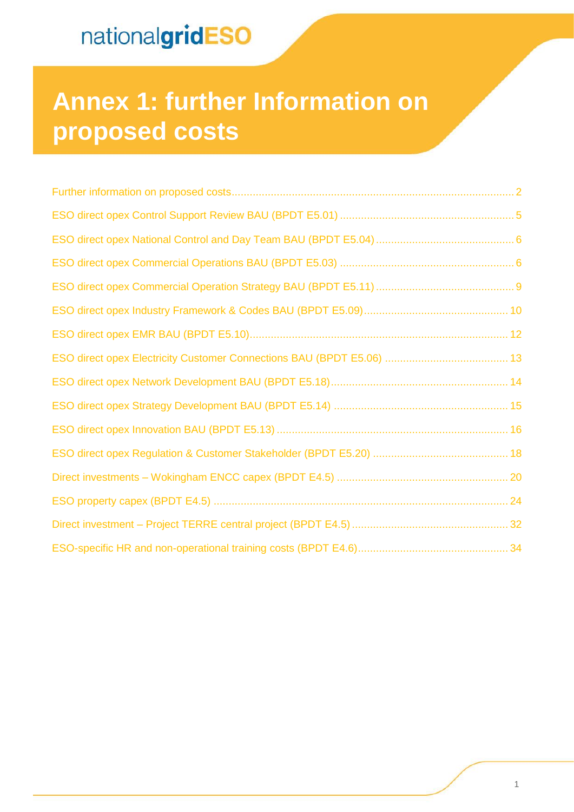# **Annex 1: further Information on proposed costs**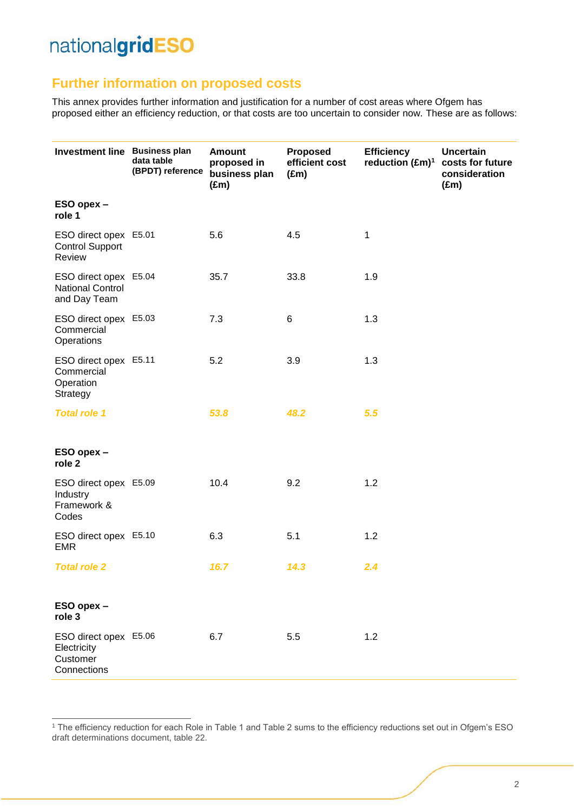-

### <span id="page-1-0"></span>**Further information on proposed costs**

This annex provides further information and justification for a number of cost areas where Ofgem has proposed either an efficiency reduction, or that costs are too uncertain to consider now. These are as follows:

| Investment line Business plan                                    | data table<br>(BPDT) reference | <b>Amount</b><br>proposed in<br>business plan<br>$(\text{Em})$ | <b>Proposed</b><br>efficient cost<br>$(\text{Em})$ | <b>Efficiency</b><br>reduction $(\text{Em})^1$ | <b>Uncertain</b><br>costs for future<br>consideration<br>$(\text{Em})$ |
|------------------------------------------------------------------|--------------------------------|----------------------------------------------------------------|----------------------------------------------------|------------------------------------------------|------------------------------------------------------------------------|
| ESO opex -<br>role 1                                             |                                |                                                                |                                                    |                                                |                                                                        |
| ESO direct opex E5.01<br><b>Control Support</b><br>Review        |                                | 5.6                                                            | 4.5                                                | 1                                              |                                                                        |
| ESO direct opex E5.04<br><b>National Control</b><br>and Day Team |                                | 35.7                                                           | 33.8                                               | 1.9                                            |                                                                        |
| ESO direct opex E5.03<br>Commercial<br>Operations                |                                | 7.3                                                            | 6                                                  | 1.3                                            |                                                                        |
| ESO direct opex E5.11<br>Commercial<br>Operation<br>Strategy     |                                | 5.2                                                            | 3.9                                                | 1.3                                            |                                                                        |
| <b>Total role 1</b>                                              |                                | 53.8                                                           | 48.2                                               | 5.5                                            |                                                                        |
| ESO opex -<br>role 2                                             |                                |                                                                |                                                    |                                                |                                                                        |
| ESO direct opex E5.09<br>Industry<br>Framework &<br>Codes        |                                | 10.4                                                           | 9.2                                                | 1.2                                            |                                                                        |
| ESO direct opex E5.10<br><b>EMR</b>                              |                                | 6.3                                                            | 5.1                                                | 1.2                                            |                                                                        |
| <b>Total role 2</b>                                              |                                | 16.7                                                           | 14.3                                               | 2.4                                            |                                                                        |
| ESO opex-<br>role 3                                              |                                |                                                                |                                                    |                                                |                                                                        |
| ESO direct opex E5.06<br>Electricity<br>Customer<br>Connections  |                                | 6.7                                                            | 5.5                                                | 1.2                                            |                                                                        |

<sup>1</sup> The efficiency reduction for each Role in Table 1 and Table 2 sums to the efficiency reductions set out in Ofgem's ESO draft determinations document, table 22.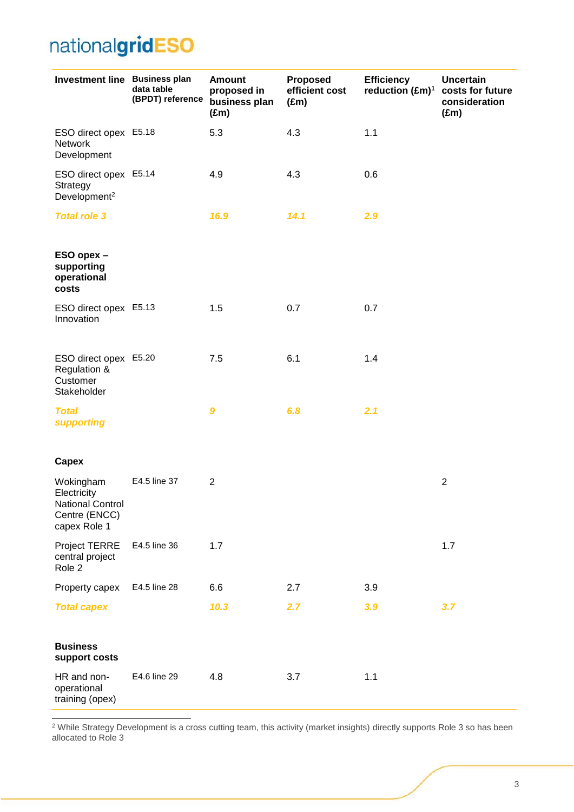| Investment line Business plan                                                        | data table<br>(BPDT) reference | <b>Amount</b><br>proposed in<br>business plan<br>$(\text{Em})$ | Proposed<br>efficient cost<br>$(\text{Em})$ | <b>Efficiency</b><br>reduction (£m) <sup>1</sup> | <b>Uncertain</b><br>costs for future<br>consideration<br>$(\text{Em})$ |
|--------------------------------------------------------------------------------------|--------------------------------|----------------------------------------------------------------|---------------------------------------------|--------------------------------------------------|------------------------------------------------------------------------|
| ESO direct opex E5.18<br><b>Network</b><br>Development                               |                                | 5.3                                                            | 4.3                                         | 1.1                                              |                                                                        |
| ESO direct opex E5.14<br>Strategy<br>Development <sup>2</sup>                        |                                | 4.9                                                            | 4.3                                         | 0.6                                              |                                                                        |
| <b>Total role 3</b>                                                                  |                                | 16.9                                                           | 14.1                                        | 2.9                                              |                                                                        |
| ESO opex -<br>supporting<br>operational<br>costs                                     |                                |                                                                |                                             |                                                  |                                                                        |
| ESO direct opex E5.13<br>Innovation                                                  |                                | 1.5                                                            | 0.7                                         | 0.7                                              |                                                                        |
| ESO direct opex E5.20<br>Regulation &<br>Customer<br>Stakeholder                     |                                | 7.5                                                            | 6.1                                         | 1.4                                              |                                                                        |
| <b>Total</b><br><b>supporting</b>                                                    |                                | $\boldsymbol{9}$                                               | 6.8                                         | 2.1                                              |                                                                        |
| Capex                                                                                |                                |                                                                |                                             |                                                  |                                                                        |
| Wokingham<br>Electricity<br><b>National Control</b><br>Centre (ENCC)<br>capex Role 1 | E4.5 line 37                   | $\overline{2}$                                                 |                                             |                                                  | $\overline{2}$                                                         |
| <b>Project TERRE</b><br>central project<br>Role 2                                    | E4.5 line 36                   | 1.7                                                            |                                             |                                                  | 1.7                                                                    |
| Property capex                                                                       | E4.5 line 28                   | 6.6                                                            | 2.7                                         | 3.9                                              |                                                                        |
| <b>Total capex</b>                                                                   |                                | 10.3                                                           | 2.7                                         | 3.9                                              | 3.7                                                                    |
| <b>Business</b><br>support costs                                                     |                                |                                                                |                                             |                                                  |                                                                        |
| HR and non-<br>operational<br>training (opex)                                        | E4.6 line 29                   | 4.8                                                            | 3.7                                         | 1.1                                              |                                                                        |

 $2$  While Strategy Development is a cross cutting team, this activity (market insights) directly supports Role 3 so has been allocated to Role 3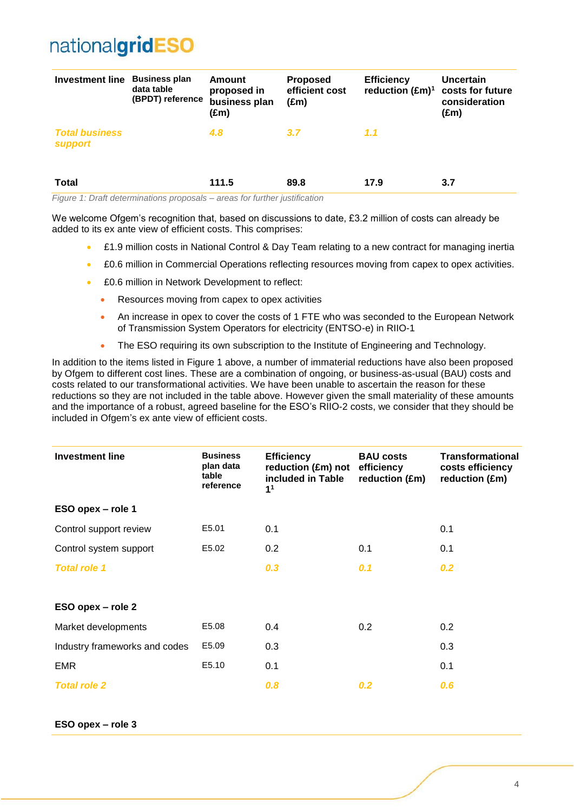| <b>Investment line</b>                  | <b>Business plan</b><br>data table<br>(BPDT) reference | Amount<br>proposed in<br>business plan<br>(£m) | <b>Proposed</b><br>efficient cost<br>$(\text{Em})$ | <b>Efficiency</b><br>reduction $(\text{Em})^1$ | <b>Uncertain</b><br>costs for future<br>consideration<br>$(\text{Em})$ |
|-----------------------------------------|--------------------------------------------------------|------------------------------------------------|----------------------------------------------------|------------------------------------------------|------------------------------------------------------------------------|
| <b>Total business</b><br><b>support</b> |                                                        | 4.8                                            | 3.7                                                | 1.1                                            |                                                                        |
| <b>Total</b>                            |                                                        | 111.5                                          | 89.8                                               | 17.9                                           | 3.7                                                                    |

*Figure 1: Draft determinations proposals – areas for further justification*

We welcome Ofgem's recognition that, based on discussions to date, £3.2 million of costs can already be added to its ex ante view of efficient costs. This comprises:

- £1.9 million costs in National Control & Day Team relating to a new contract for managing inertia
- £0.6 million in Commercial Operations reflecting resources moving from capex to opex activities.
- £0.6 million in Network Development to reflect:
	- Resources moving from capex to opex activities
	- An increase in opex to cover the costs of 1 FTE who was seconded to the European Network of Transmission System Operators for electricity (ENTSO-e) in RIIO-1
	- The ESO requiring its own subscription to the Institute of Engineering and Technology.

In addition to the items listed in Figure 1 above, a number of immaterial reductions have also been proposed by Ofgem to different cost lines. These are a combination of ongoing, or business-as-usual (BAU) costs and costs related to our transformational activities. We have been unable to ascertain the reason for these reductions so they are not included in the table above. However given the small materiality of these amounts and the importance of a robust, agreed baseline for the ESO's RIIO-2 costs, we consider that they should be included in Ofgem's ex ante view of efficient costs.

| <b>Investment line</b>        | <b>Business</b><br>plan data<br>table<br>reference | <b>Efficiency</b><br>reduction (£m) not<br>included in Table<br>1 <sup>1</sup> | <b>BAU costs</b><br>efficiency<br>reduction (£m) | <b>Transformational</b><br>costs efficiency<br>reduction (£m) |
|-------------------------------|----------------------------------------------------|--------------------------------------------------------------------------------|--------------------------------------------------|---------------------------------------------------------------|
| ESO opex - role 1             |                                                    |                                                                                |                                                  |                                                               |
| Control support review        | E5.01                                              | 0.1                                                                            |                                                  | 0.1                                                           |
| Control system support        | E5.02                                              | 0.2                                                                            | 0.1                                              | 0.1                                                           |
| <b>Total role 1</b>           |                                                    | 0.3                                                                            | 0.1                                              | 0.2                                                           |
| ESO opex - role 2             |                                                    |                                                                                |                                                  |                                                               |
| Market developments           | E5.08                                              | 0.4                                                                            | 0.2                                              | 0.2                                                           |
| Industry frameworks and codes | E5.09                                              | 0.3                                                                            |                                                  | 0.3                                                           |
| <b>EMR</b>                    | E5.10                                              | 0.1                                                                            |                                                  | 0.1                                                           |
| <b>Total role 2</b>           |                                                    | 0.8                                                                            | 0.2                                              | 0.6                                                           |

**ESO opex – role 3**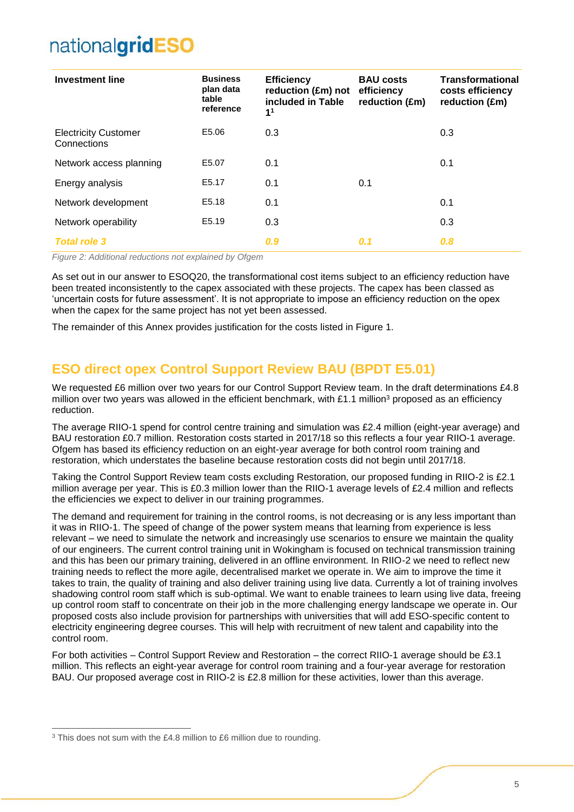| <b>Investment line</b>                     | <b>Business</b><br>plan data<br>table<br>reference | <b>Efficiency</b><br>reduction (£m) not<br>included in Table<br>1 <sup>1</sup> | <b>BAU costs</b><br>efficiency<br>reduction (£m) | <b>Transformational</b><br>costs efficiency<br>reduction (£m) |
|--------------------------------------------|----------------------------------------------------|--------------------------------------------------------------------------------|--------------------------------------------------|---------------------------------------------------------------|
| <b>Electricity Customer</b><br>Connections | E5.06                                              | 0.3                                                                            |                                                  | 0.3                                                           |
| Network access planning                    | E5.07                                              | 0.1                                                                            |                                                  | 0.1                                                           |
| Energy analysis                            | E5.17                                              | 0.1                                                                            | 0.1                                              |                                                               |
| Network development                        | E5.18                                              | 0.1                                                                            |                                                  | 0.1                                                           |
| Network operability                        | E5.19                                              | 0.3                                                                            |                                                  | 0.3                                                           |
| <b>Total role 3</b>                        |                                                    | 0.9                                                                            | 0.1                                              | 0.8                                                           |

*Figure 2: Additional reductions not explained by Ofgem*

As set out in our answer to ESOQ20, the transformational cost items subject to an efficiency reduction have been treated inconsistently to the capex associated with these projects. The capex has been classed as 'uncertain costs for future assessment'. It is not appropriate to impose an efficiency reduction on the opex when the capex for the same project has not yet been assessed.

The remainder of this Annex provides justification for the costs listed in Figure 1.

### <span id="page-4-0"></span>**ESO direct opex Control Support Review BAU (BPDT E5.01)**

We requested £6 million over two years for our Control Support Review team. In the draft determinations £4.8 million over two years was allowed in the efficient benchmark, with £1.1 million<sup>3</sup> proposed as an efficiency reduction.

The average RIIO-1 spend for control centre training and simulation was £2.4 million (eight-year average) and BAU restoration £0.7 million. Restoration costs started in 2017/18 so this reflects a four year RIIO-1 average. Ofgem has based its efficiency reduction on an eight-year average for both control room training and restoration, which understates the baseline because restoration costs did not begin until 2017/18.

Taking the Control Support Review team costs excluding Restoration, our proposed funding in RIIO-2 is £2.1 million average per year. This is £0.3 million lower than the RIIO-1 average levels of £2.4 million and reflects the efficiencies we expect to deliver in our training programmes.

The demand and requirement for training in the control rooms, is not decreasing or is any less important than it was in RIIO-1. The speed of change of the power system means that learning from experience is less relevant – we need to simulate the network and increasingly use scenarios to ensure we maintain the quality of our engineers. The current control training unit in Wokingham is focused on technical transmission training and this has been our primary training, delivered in an offline environment. In RIIO-2 we need to reflect new training needs to reflect the more agile, decentralised market we operate in. We aim to improve the time it takes to train, the quality of training and also deliver training using live data. Currently a lot of training involves shadowing control room staff which is sub-optimal. We want to enable trainees to learn using live data, freeing up control room staff to concentrate on their job in the more challenging energy landscape we operate in. Our proposed costs also include provision for partnerships with universities that will add ESO-specific content to electricity engineering degree courses. This will help with recruitment of new talent and capability into the control room.

For both activities – Control Support Review and Restoration – the correct RIIO-1 average should be £3.1 million. This reflects an eight-year average for control room training and a four-year average for restoration BAU. Our proposed average cost in RIIO-2 is £2.8 million for these activities, lower than this average.

 $\overline{a}$ 

<sup>&</sup>lt;sup>3</sup> This does not sum with the £4.8 million to £6 million due to rounding.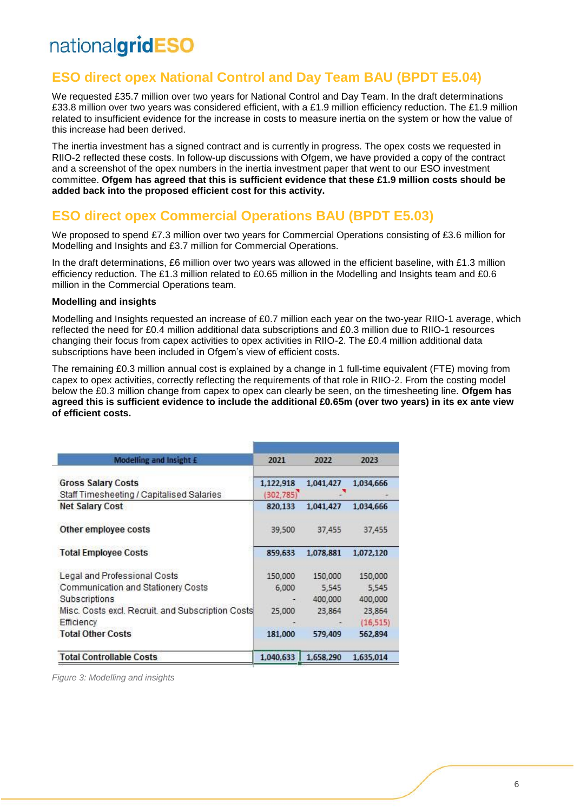### <span id="page-5-0"></span>**ESO direct opex National Control and Day Team BAU (BPDT E5.04)**

We requested £35.7 million over two years for National Control and Day Team. In the draft determinations £33.8 million over two years was considered efficient, with a £1.9 million efficiency reduction. The £1.9 million related to insufficient evidence for the increase in costs to measure inertia on the system or how the value of this increase had been derived.

The inertia investment has a signed contract and is currently in progress. The opex costs we requested in RIIO-2 reflected these costs. In follow-up discussions with Ofgem, we have provided a copy of the contract and a screenshot of the opex numbers in the inertia investment paper that went to our ESO investment committee. **Ofgem has agreed that this is sufficient evidence that these £1.9 million costs should be added back into the proposed efficient cost for this activity.** 

### <span id="page-5-1"></span>**ESO direct opex Commercial Operations BAU (BPDT E5.03)**

We proposed to spend £7.3 million over two years for Commercial Operations consisting of £3.6 million for Modelling and Insights and £3.7 million for Commercial Operations.

In the draft determinations, £6 million over two years was allowed in the efficient baseline, with £1.3 million efficiency reduction. The £1.3 million related to £0.65 million in the Modelling and Insights team and £0.6 million in the Commercial Operations team.

#### **Modelling and insights**

Modelling and Insights requested an increase of £0.7 million each year on the two-year RIIO-1 average, which reflected the need for £0.4 million additional data subscriptions and £0.3 million due to RIIO-1 resources changing their focus from capex activities to opex activities in RIIO-2. The £0.4 million additional data subscriptions have been included in Ofgem's view of efficient costs.

The remaining £0.3 million annual cost is explained by a change in 1 full-time equivalent (FTE) moving from capex to opex activities, correctly reflecting the requirements of that role in RIIO-2. From the costing model below the £0.3 million change from capex to opex can clearly be seen, on the timesheeting line. **Ofgem has agreed this is sufficient evidence to include the additional £0.65m (over two years) in its ex ante view of efficient costs.** 

| Modelling and Insight £                                                   | 2021                    | 2022              | 2023              |  |
|---------------------------------------------------------------------------|-------------------------|-------------------|-------------------|--|
| <b>Gross Salary Costs</b><br>Staff Timesheeting / Capitalised Salaries    | 1,122,918<br>(302, 785) | 1,041,427         | 1,034,666         |  |
| <b>Net Salary Cost</b>                                                    | 820,133                 | 1.041.427         | 1,034,666         |  |
| Other employee costs                                                      | 39,500                  | 37,455            | 37,455            |  |
| <b>Total Employee Costs</b>                                               | 859,633                 | 1.078.881         | 1.072.120         |  |
| Legal and Professional Costs                                              | 150,000                 | 150,000           | 150,000           |  |
| Communication and Stationery Costs                                        | 6,000                   | 5,545             | 5,545             |  |
| <b>Subscriptions</b><br>Misc. Costs excl. Recruit, and Subscription Costs | 25,000                  | 400,000<br>23,864 | 400,000<br>23,864 |  |
| Efficiency                                                                |                         |                   | (16, 515)         |  |
| <b>Total Other Costs</b>                                                  | 181.000                 | 579,409           | 562,894           |  |
| <b>Total Controllable Costs</b>                                           | 1.040.633               | 1,658,290         | 1,635,014         |  |

*Figure 3: Modelling and insights*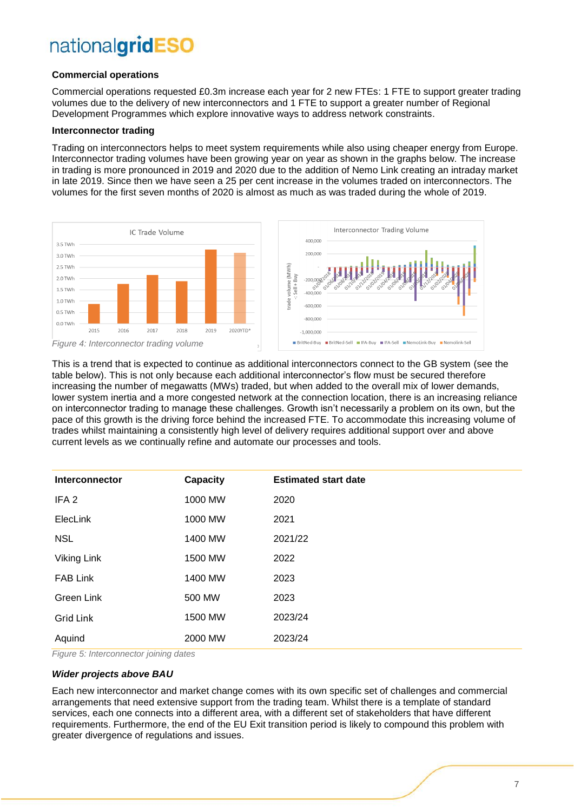#### **Commercial operations**

Commercial operations requested £0.3m increase each year for 2 new FTEs: 1 FTE to support greater trading volumes due to the delivery of new interconnectors and 1 FTE to support a greater number of Regional Development Programmes which explore innovative ways to address network constraints.

#### **Interconnector trading**

Trading on interconnectors helps to meet system requirements while also using cheaper energy from Europe. Interconnector trading volumes have been growing year on year as shown in the graphs below. The increase in trading is more pronounced in 2019 and 2020 due to the addition of Nemo Link creating an intraday market in late 2019. Since then we have seen a 25 per cent increase in the volumes traded on interconnectors. The volumes for the first seven months of 2020 is almost as much as was traded during the whole of 2019.





This is a trend that is expected to continue as additional interconnectors connect to the GB system (see the table below). This is not only because each additional interconnector's flow must be secured therefore increasing the number of megawatts (MWs) traded, but when added to the overall mix of lower demands, lower system inertia and a more congested network at the connection location, there is an increasing reliance on interconnector trading to manage these challenges. Growth isn't necessarily a problem on its own, but the pace of this growth is the driving force behind the increased FTE. To accommodate this increasing volume of trades whilst maintaining a consistently high level of delivery requires additional support over and above current levels as we continually refine and automate our processes and tools.

| Interconnector   | <b>Capacity</b> | <b>Estimated start date</b> |
|------------------|-----------------|-----------------------------|
| IFA <sub>2</sub> | 1000 MW         | 2020                        |
| ElecLink         | 1000 MW         | 2021                        |
| <b>NSL</b>       | 1400 MW         | 2021/22                     |
| Viking Link      | 1500 MW         | 2022                        |
| <b>FAB Link</b>  | 1400 MW         | 2023                        |
| Green Link       | 500 MW          | 2023                        |
| <b>Grid Link</b> | 1500 MW         | 2023/24                     |
| Aquind           | 2000 MW         | 2023/24                     |

*Figure 5: Interconnector joining dates*

#### *Wider projects above BAU*

Each new interconnector and market change comes with its own specific set of challenges and commercial arrangements that need extensive support from the trading team. Whilst there is a template of standard services, each one connects into a different area, with a different set of stakeholders that have different requirements. Furthermore, the end of the EU Exit transition period is likely to compound this problem with greater divergence of regulations and issues.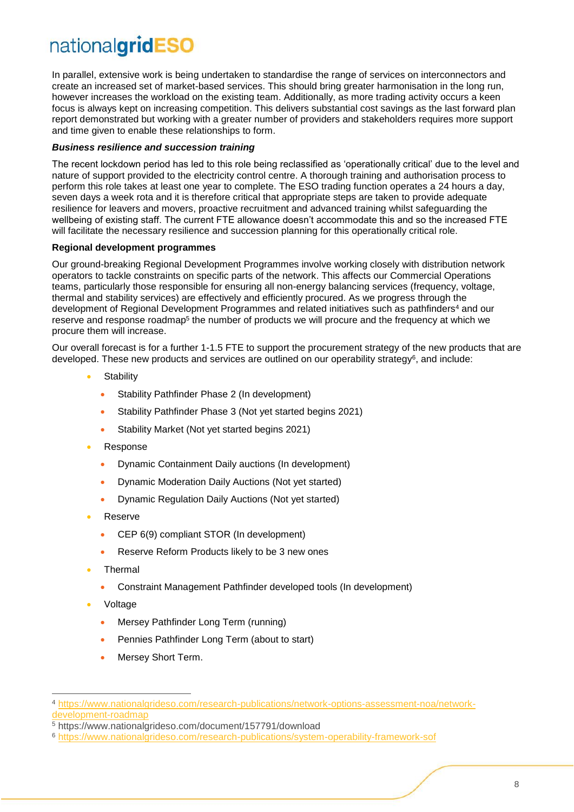In parallel, extensive work is being undertaken to standardise the range of services on interconnectors and create an increased set of market-based services. This should bring greater harmonisation in the long run, however increases the workload on the existing team. Additionally, as more trading activity occurs a keen focus is always kept on increasing competition. This delivers substantial cost savings as the last forward plan report demonstrated but working with a greater number of providers and stakeholders requires more support and time given to enable these relationships to form.

#### *Business resilience and succession training*

The recent lockdown period has led to this role being reclassified as 'operationally critical' due to the level and nature of support provided to the electricity control centre. A thorough training and authorisation process to perform this role takes at least one year to complete. The ESO trading function operates a 24 hours a day, seven days a week rota and it is therefore critical that appropriate steps are taken to provide adequate resilience for leavers and movers, proactive recruitment and advanced training whilst safeguarding the wellbeing of existing staff. The current FTE allowance doesn't accommodate this and so the increased FTE will facilitate the necessary resilience and succession planning for this operationally critical role.

#### **Regional development programmes**

Our ground-breaking Regional Development Programmes involve working closely with distribution network operators to tackle constraints on specific parts of the network. This affects our Commercial Operations teams, particularly those responsible for ensuring all non-energy balancing services (frequency, voltage, thermal and stability services) are effectively and efficiently procured. As we progress through the development of Regional Development Programmes and related initiatives such as pathfinders<sup>4</sup> and our reserve and response roadmap<sup>5</sup> the number of products we will procure and the frequency at which we procure them will increase.

Our overall forecast is for a further 1-1.5 FTE to support the procurement strategy of the new products that are developed. These new products and services are outlined on our operability strategy<sup>6</sup>, and include:

- **Stability** 
	- Stability Pathfinder Phase 2 (In development)
	- Stability Pathfinder Phase 3 (Not yet started begins 2021)
	- Stability Market (Not yet started begins 2021)
- **Response** 
	- Dynamic Containment Daily auctions (In development)
	- Dynamic Moderation Daily Auctions (Not yet started)
	- Dynamic Regulation Daily Auctions (Not yet started)
- Reserve
	- CEP 6(9) compliant STOR (In development)
	- Reserve Reform Products likely to be 3 new ones
- Thermal
	- Constraint Management Pathfinder developed tools (In development)
- Voltage

-

- Mersey Pathfinder Long Term (running)
- Pennies Pathfinder Long Term (about to start)
- Mersey Short Term.

<sup>4</sup> [https://www.nationalgrideso.com/research-publications/network-options-assessment-noa/network](https://www.nationalgrideso.com/research-publications/network-options-assessment-noa/network-development-roadmap)[development-roadmap](https://www.nationalgrideso.com/research-publications/network-options-assessment-noa/network-development-roadmap)

<sup>5</sup> https://www.nationalgrideso.com/document/157791/download

<sup>6</sup> <https://www.nationalgrideso.com/research-publications/system-operability-framework-sof>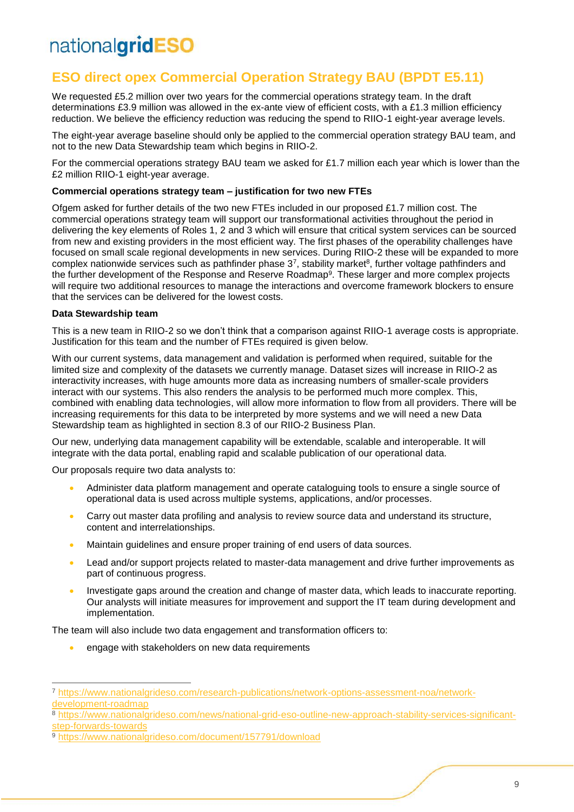### <span id="page-8-0"></span>**ESO direct opex Commercial Operation Strategy BAU (BPDT E5.11)**

We requested £5.2 million over two years for the commercial operations strategy team. In the draft determinations £3.9 million was allowed in the ex-ante view of efficient costs, with a £1.3 million efficiency reduction. We believe the efficiency reduction was reducing the spend to RIIO-1 eight-year average levels.

The eight-year average baseline should only be applied to the commercial operation strategy BAU team, and not to the new Data Stewardship team which begins in RIIO-2.

For the commercial operations strategy BAU team we asked for £1.7 million each year which is lower than the £2 million RIIO-1 eight-year average.

#### **Commercial operations strategy team – justification for two new FTEs**

Ofgem asked for further details of the two new FTEs included in our proposed £1.7 million cost. The commercial operations strategy team will support our transformational activities throughout the period in delivering the key elements of Roles 1, 2 and 3 which will ensure that critical system services can be sourced from new and existing providers in the most efficient way. The first phases of the operability challenges have focused on small scale regional developments in new services. During RIIO-2 these will be expanded to more complex nationwide services such as pathfinder phase  $3^7$ , stability market $^8$ , further voltage pathfinders and the further development of the Response and Reserve Roadmap<sup>9</sup>. These larger and more complex projects will require two additional resources to manage the interactions and overcome framework blockers to ensure that the services can be delivered for the lowest costs.

#### **Data Stewardship team**

 $\overline{a}$ 

This is a new team in RIIO-2 so we don't think that a comparison against RIIO-1 average costs is appropriate. Justification for this team and the number of FTEs required is given below.

With our current systems, data management and validation is performed when required, suitable for the limited size and complexity of the datasets we currently manage. Dataset sizes will increase in RIIO-2 as interactivity increases, with huge amounts more data as increasing numbers of smaller-scale providers interact with our systems. This also renders the analysis to be performed much more complex. This, combined with enabling data technologies, will allow more information to flow from all providers. There will be increasing requirements for this data to be interpreted by more systems and we will need a new Data Stewardship team as highlighted in section 8.3 of our RIIO-2 Business Plan.

Our new, underlying data management capability will be extendable, scalable and interoperable. It will integrate with the data portal, enabling rapid and scalable publication of our operational data.

Our proposals require two data analysts to:

- Administer data platform management and operate cataloguing tools to ensure a single source of operational data is used across multiple systems, applications, and/or processes.
- Carry out master data profiling and analysis to review source data and understand its structure, content and interrelationships.
- Maintain guidelines and ensure proper training of end users of data sources.
- Lead and/or support projects related to master-data management and drive further improvements as part of continuous progress.
- Investigate gaps around the creation and change of master data, which leads to inaccurate reporting. Our analysts will initiate measures for improvement and support the IT team during development and implementation.

The team will also include two data engagement and transformation officers to:

• engage with stakeholders on new data requirements

<sup>7</sup> [https://www.nationalgrideso.com/research-publications/network-options-assessment-noa/network](https://www.nationalgrideso.com/research-publications/network-options-assessment-noa/network-development-roadmap)[development-roadmap](https://www.nationalgrideso.com/research-publications/network-options-assessment-noa/network-development-roadmap)

<sup>8</sup> [https://www.nationalgrideso.com/news/national-grid-eso-outline-new-approach-stability-services-significant](https://www.nationalgrideso.com/news/national-grid-eso-outline-new-approach-stability-services-significant-step-forwards-towards)[step-forwards-towards](https://www.nationalgrideso.com/news/national-grid-eso-outline-new-approach-stability-services-significant-step-forwards-towards)

<sup>9</sup> <https://www.nationalgrideso.com/document/157791/download>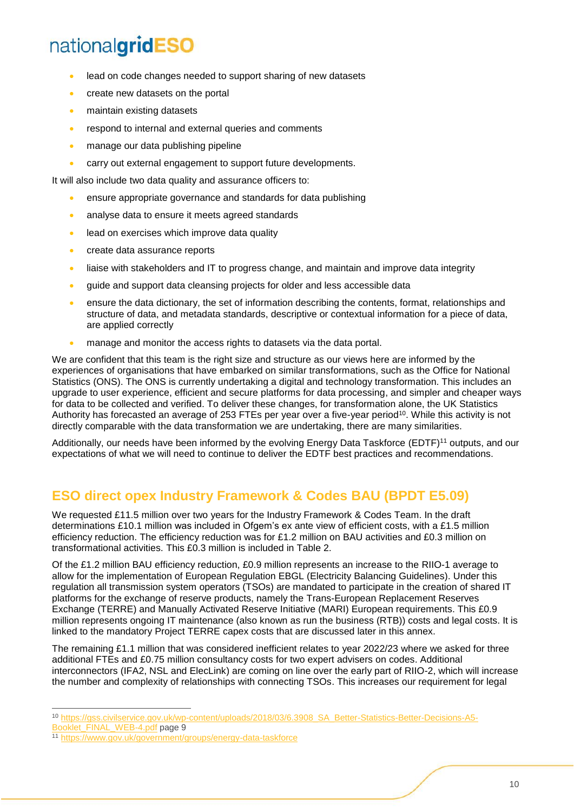- lead on code changes needed to support sharing of new datasets
- create new datasets on the portal
- maintain existing datasets
- respond to internal and external queries and comments
- manage our data publishing pipeline
- carry out external engagement to support future developments.

It will also include two data quality and assurance officers to:

- ensure appropriate governance and standards for data publishing
- analyse data to ensure it meets agreed standards
- lead on exercises which improve data quality
- create data assurance reports
- liaise with stakeholders and IT to progress change, and maintain and improve data integrity
- guide and support data cleansing projects for older and less accessible data
- ensure the data dictionary, the set of information describing the contents, format, relationships and structure of data, and metadata standards, descriptive or contextual information for a piece of data, are applied correctly
- manage and monitor the access rights to datasets via the data portal.

We are confident that this team is the right size and structure as our views here are informed by the experiences of organisations that have embarked on similar transformations, such as the Office for National Statistics (ONS). The ONS is currently undertaking a digital and technology transformation. This includes an upgrade to user experience, efficient and secure platforms for data processing, and simpler and cheaper ways for data to be collected and verified. To deliver these changes, for transformation alone, the UK Statistics Authority has forecasted an average of 253 FTEs per year over a five-year period<sup>10</sup>. While this activity is not directly comparable with the data transformation we are undertaking, there are many similarities.

Additionally, our needs have been informed by the evolving Energy Data Taskforce (EDTF)<sup>11</sup> outputs, and our expectations of what we will need to continue to deliver the EDTF best practices and recommendations.

### <span id="page-9-0"></span>**ESO direct opex Industry Framework & Codes BAU (BPDT E5.09)**

We requested £11.5 million over two years for the Industry Framework & Codes Team. In the draft determinations £10.1 million was included in Ofgem's ex ante view of efficient costs, with a £1.5 million efficiency reduction. The efficiency reduction was for £1.2 million on BAU activities and £0.3 million on transformational activities. This £0.3 million is included in Table 2.

Of the £1.2 million BAU efficiency reduction, £0.9 million represents an increase to the RIIO-1 average to allow for the implementation of European Regulation EBGL (Electricity Balancing Guidelines). Under this regulation all transmission system operators (TSOs) are mandated to participate in the creation of shared IT platforms for the exchange of reserve products, namely the Trans-European Replacement Reserves Exchange (TERRE) and Manually Activated Reserve Initiative (MARI) European requirements. This £0.9 million represents ongoing IT maintenance (also known as run the business (RTB)) costs and legal costs. It is linked to the mandatory Project TERRE capex costs that are discussed later in this annex.

The remaining £1.1 million that was considered inefficient relates to year 2022/23 where we asked for three additional FTEs and £0.75 million consultancy costs for two expert advisers on codes. Additional interconnectors (IFA2, NSL and ElecLink) are coming on line over the early part of RIIO-2, which will increase the number and complexity of relationships with connecting TSOs. This increases our requirement for legal

[Booklet\\_FINAL\\_WEB-4.pdf](https://gss.civilservice.gov.uk/wp-content/uploads/2018/03/6.3908_SA_Better-Statistics-Better-Decisions-A5-Booklet_FINAL_WEB-4.pdf) page 9

<sup>-</sup><sup>10</sup> [https://gss.civilservice.gov.uk/wp-content/uploads/2018/03/6.3908\\_SA\\_Better-Statistics-Better-Decisions-A5-](https://gss.civilservice.gov.uk/wp-content/uploads/2018/03/6.3908_SA_Better-Statistics-Better-Decisions-A5-Booklet_FINAL_WEB-4.pdf)

<sup>11</sup> <https://www.gov.uk/government/groups/energy-data-taskforce>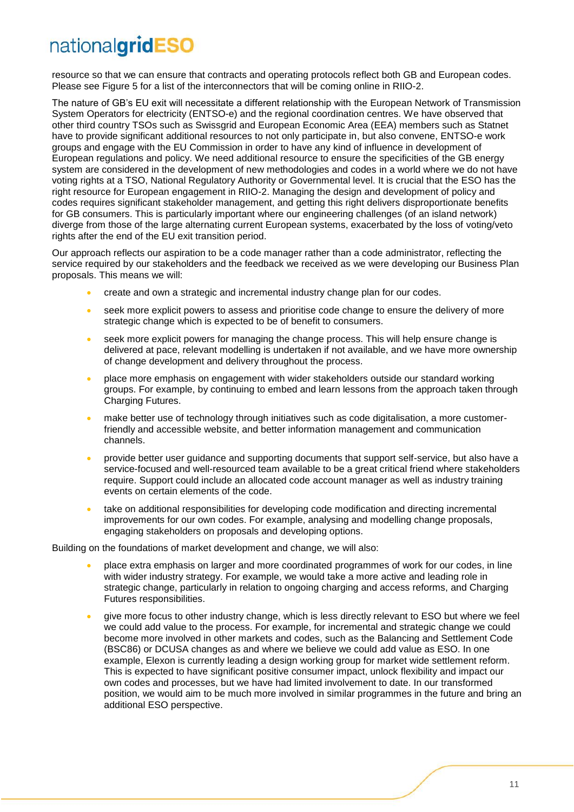resource so that we can ensure that contracts and operating protocols reflect both GB and European codes. Please see Figure 5 for a list of the interconnectors that will be coming online in RIIO-2.

The nature of GB's EU exit will necessitate a different relationship with the European Network of Transmission System Operators for electricity (ENTSO-e) and the regional coordination centres. We have observed that other third country TSOs such as Swissgrid and European Economic Area (EEA) members such as Statnet have to provide significant additional resources to not only participate in, but also convene, ENTSO-e work groups and engage with the EU Commission in order to have any kind of influence in development of European regulations and policy. We need additional resource to ensure the specificities of the GB energy system are considered in the development of new methodologies and codes in a world where we do not have voting rights at a TSO, National Regulatory Authority or Governmental level. It is crucial that the ESO has the right resource for European engagement in RIIO-2. Managing the design and development of policy and codes requires significant stakeholder management, and getting this right delivers disproportionate benefits for GB consumers. This is particularly important where our engineering challenges (of an island network) diverge from those of the large alternating current European systems, exacerbated by the loss of voting/veto rights after the end of the EU exit transition period.

Our approach reflects our aspiration to be a code manager rather than a code administrator, reflecting the service required by our stakeholders and the feedback we received as we were developing our Business Plan proposals. This means we will:

- create and own a strategic and incremental industry change plan for our codes.
- seek more explicit powers to assess and prioritise code change to ensure the delivery of more strategic change which is expected to be of benefit to consumers.
- seek more explicit powers for managing the change process. This will help ensure change is delivered at pace, relevant modelling is undertaken if not available, and we have more ownership of change development and delivery throughout the process.
- place more emphasis on engagement with wider stakeholders outside our standard working groups. For example, by continuing to embed and learn lessons from the approach taken through Charging Futures.
- make better use of technology through initiatives such as code digitalisation, a more customerfriendly and accessible website, and better information management and communication channels.
- provide better user guidance and supporting documents that support self-service, but also have a service-focused and well-resourced team available to be a great critical friend where stakeholders require. Support could include an allocated code account manager as well as industry training events on certain elements of the code.
- take on additional responsibilities for developing code modification and directing incremental improvements for our own codes. For example, analysing and modelling change proposals, engaging stakeholders on proposals and developing options.

Building on the foundations of market development and change, we will also:

- place extra emphasis on larger and more coordinated programmes of work for our codes, in line with wider industry strategy. For example, we would take a more active and leading role in strategic change, particularly in relation to ongoing charging and access reforms, and Charging Futures responsibilities.
- give more focus to other industry change, which is less directly relevant to ESO but where we feel we could add value to the process. For example, for incremental and strategic change we could become more involved in other markets and codes, such as the Balancing and Settlement Code (BSC86) or DCUSA changes as and where we believe we could add value as ESO. In one example, Elexon is currently leading a design working group for market wide settlement reform. This is expected to have significant positive consumer impact, unlock flexibility and impact our own codes and processes, but we have had limited involvement to date. In our transformed position, we would aim to be much more involved in similar programmes in the future and bring an additional ESO perspective.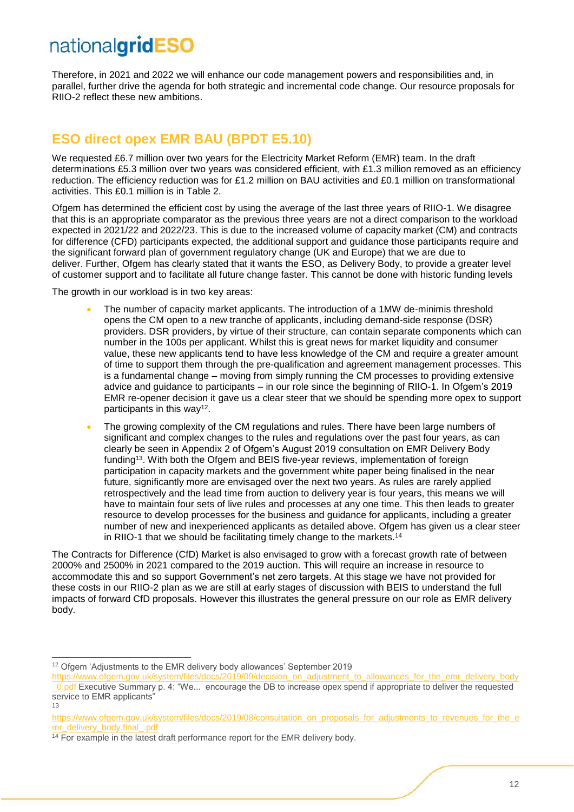Therefore, in 2021 and 2022 we will enhance our code management powers and responsibilities and, in parallel, further drive the agenda for both strategic and incremental code change. Our resource proposals for RIIO-2 reflect these new ambitions.

### <span id="page-11-0"></span>**ESO direct opex EMR BAU (BPDT E5.10)**

We requested £6.7 million over two years for the Electricity Market Reform (EMR) team. In the draft determinations £5.3 million over two years was considered efficient, with £1.3 million removed as an efficiency reduction. The efficiency reduction was for £1.2 million on BAU activities and £0.1 million on transformational activities. This £0.1 million is in Table 2.

Ofgem has determined the efficient cost by using the average of the last three years of RIIO-1. We disagree that this is an appropriate comparator as the previous three years are not a direct comparison to the workload expected in 2021/22 and 2022/23. This is due to the increased volume of capacity market (CM) and contracts for difference (CFD) participants expected, the additional support and guidance those participants require and the significant forward plan of government regulatory change (UK and Europe) that we are due to deliver. Further, Ofgem has clearly stated that it wants the ESO, as Delivery Body, to provide a greater level of customer support and to facilitate all future change faster. This cannot be done with historic funding levels

The growth in our workload is in two key areas:

- The number of capacity market applicants. The introduction of a 1MW de-minimis threshold opens the CM open to a new tranche of applicants, including demand-side response (DSR) providers. DSR providers, by virtue of their structure, can contain separate components which can number in the 100s per applicant. Whilst this is great news for market liquidity and consumer value, these new applicants tend to have less knowledge of the CM and require a greater amount of time to support them through the pre-qualification and agreement management processes. This is a fundamental change – moving from simply running the CM processes to providing extensive advice and guidance to participants – in our role since the beginning of RIIO-1. In Ofgem's 2019 EMR re-opener decision it gave us a clear steer that we should be spending more opex to support participants in this way<sup>12</sup>.
- The growing complexity of the CM regulations and rules. There have been large numbers of significant and complex changes to the rules and regulations over the past four years, as can clearly be seen in Appendix 2 of Ofgem's August 2019 consultation on EMR Delivery Body funding<sup>13</sup>. With both the Ofgem and BEIS five-year reviews, implementation of foreign participation in capacity markets and the government white paper being finalised in the near future, significantly more are envisaged over the next two years. As rules are rarely applied retrospectively and the lead time from auction to delivery year is four years, this means we will have to maintain four sets of live rules and processes at any one time. This then leads to greater resource to develop processes for the business and guidance for applicants, including a greater number of new and inexperienced applicants as detailed above. Ofgem has given us a clear steer in RIIO-1 that we should be facilitating timely change to the markets.<sup>14</sup>

The Contracts for Difference (CfD) Market is also envisaged to grow with a forecast growth rate of between 2000% and 2500% in 2021 compared to the 2019 auction. This will require an increase in resource to accommodate this and so support Government's net zero targets. At this stage we have not provided for these costs in our RIIO-2 plan as we are still at early stages of discussion with BEIS to understand the full impacts of forward CfD proposals. However this illustrates the general pressure on our role as EMR delivery body.

-

13

<sup>&</sup>lt;sup>12</sup> Ofgem 'Adjustments to the EMR delivery body allowances' September 2019

[https://www.ofgem.gov.uk/system/files/docs/2019/09/decision\\_on\\_adjustment\\_to\\_allowances\\_for\\_the\\_emr\\_delivery\\_body](https://www.ofgem.gov.uk/system/files/docs/2019/09/decision_on_adjustment_to_allowances_for_the_emr_delivery_body_0.pdf) **0.pdf Executive Summary p. 4: "We... encourage the DB to increase opex spend if appropriate to deliver the requested** service to EMR applicants"

[https://www.ofgem.gov.uk/system/files/docs/2019/08/consultation\\_on\\_proposals\\_for\\_adjustments\\_to\\_revenues\\_for\\_the\\_e](https://www.ofgem.gov.uk/system/files/docs/2019/08/consultation_on_proposals_for_adjustments_to_revenues_for_the_emr_delivery_body.final_.pdf) [mr\\_delivery\\_body.final\\_.pdf](https://www.ofgem.gov.uk/system/files/docs/2019/08/consultation_on_proposals_for_adjustments_to_revenues_for_the_emr_delivery_body.final_.pdf)

<sup>&</sup>lt;sup>14</sup> For example in the latest draft performance report for the EMR delivery body.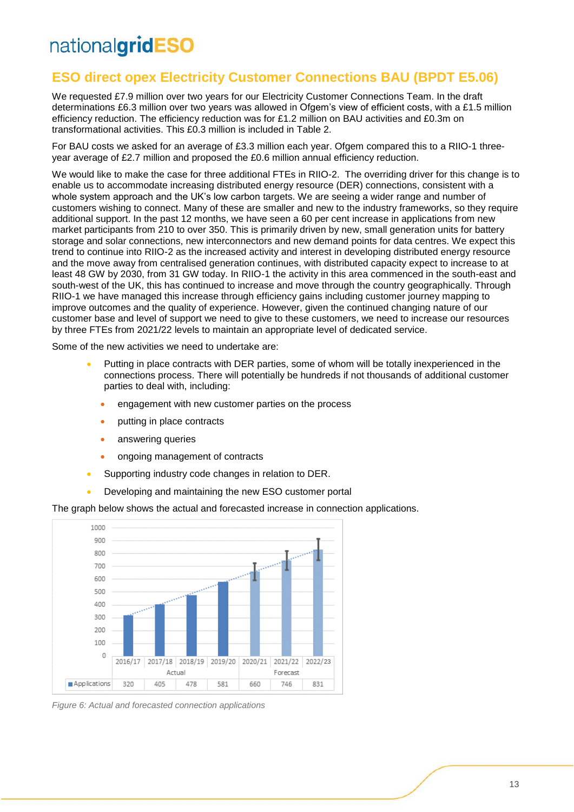### <span id="page-12-0"></span>**ESO direct opex Electricity Customer Connections BAU (BPDT E5.06)**

We requested £7.9 million over two years for our Electricity Customer Connections Team. In the draft determinations £6.3 million over two years was allowed in Ofgem's view of efficient costs, with a £1.5 million efficiency reduction. The efficiency reduction was for £1.2 million on BAU activities and £0.3m on transformational activities. This £0.3 million is included in Table 2.

For BAU costs we asked for an average of £3.3 million each year. Ofgem compared this to a RIIO-1 threeyear average of £2.7 million and proposed the £0.6 million annual efficiency reduction.

We would like to make the case for three additional FTEs in RIIO-2. The overriding driver for this change is to enable us to accommodate increasing distributed energy resource (DER) connections, consistent with a whole system approach and the UK's low carbon targets. We are seeing a wider range and number of customers wishing to connect. Many of these are smaller and new to the industry frameworks, so they require additional support. In the past 12 months, we have seen a 60 per cent increase in applications from new market participants from 210 to over 350. This is primarily driven by new, small generation units for battery storage and solar connections, new interconnectors and new demand points for data centres. We expect this trend to continue into RIIO-2 as the increased activity and interest in developing distributed energy resource and the move away from centralised generation continues, with distributed capacity expect to increase to at least 48 GW by 2030, from 31 GW today. In RIIO-1 the activity in this area commenced in the south-east and south-west of the UK, this has continued to increase and move through the country geographically. Through RIIO-1 we have managed this increase through efficiency gains including customer journey mapping to improve outcomes and the quality of experience. However, given the continued changing nature of our customer base and level of support we need to give to these customers, we need to increase our resources by three FTEs from 2021/22 levels to maintain an appropriate level of dedicated service.

Some of the new activities we need to undertake are:

- Putting in place contracts with DER parties, some of whom will be totally inexperienced in the connections process. There will potentially be hundreds if not thousands of additional customer parties to deal with, including:
	- engagement with new customer parties on the process
	- putting in place contracts
	- answering queries
	- ongoing management of contracts
- Supporting industry code changes in relation to DER.
- Developing and maintaining the new ESO customer portal

The graph below shows the actual and forecasted increase in connection applications.



*Figure 6: Actual and forecasted connection applications*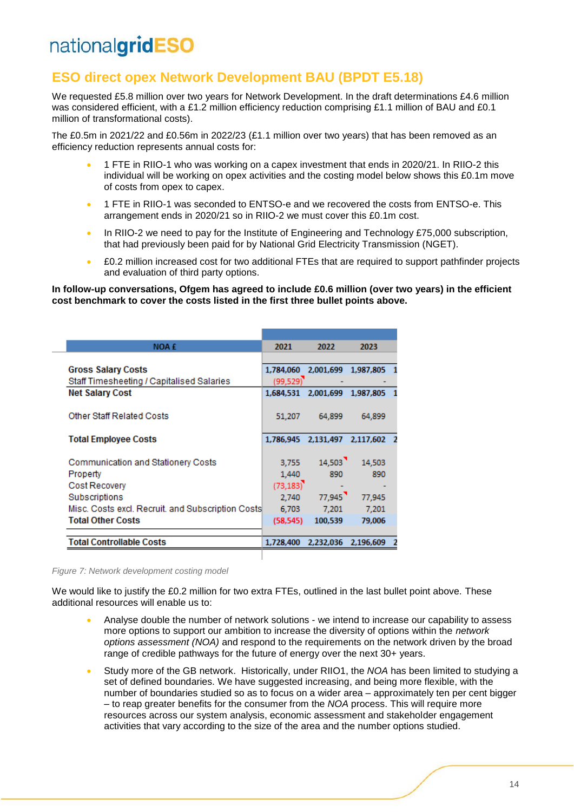### <span id="page-13-0"></span>**ESO direct opex Network Development BAU (BPDT E5.18)**

We requested £5.8 million over two years for Network Development. In the draft determinations £4.6 million was considered efficient, with a £1.2 million efficiency reduction comprising £1.1 million of BAU and £0.1 million of transformational costs).

The £0.5m in 2021/22 and £0.56m in 2022/23 (£1.1 million over two years) that has been removed as an efficiency reduction represents annual costs for:

- 1 FTE in RIIO-1 who was working on a capex investment that ends in 2020/21. In RIIO-2 this individual will be working on opex activities and the costing model below shows this £0.1m move of costs from opex to capex.
- 1 FTE in RIIO-1 was seconded to ENTSO-e and we recovered the costs from ENTSO-e. This arrangement ends in 2020/21 so in RIIO-2 we must cover this £0.1m cost.
- In RIIO-2 we need to pay for the Institute of Engineering and Technology £75,000 subscription, that had previously been paid for by National Grid Electricity Transmission (NGET).
- £0.2 million increased cost for two additional FTEs that are required to support pathfinder projects and evaluation of third party options.

**In follow-up conversations, Ofgem has agreed to include £0.6 million (over two years) in the efficient cost benchmark to cover the costs listed in the first three bullet points above.**

| <b>NOA £</b>                                      | 2021      | 2022                | 2023      |  |
|---------------------------------------------------|-----------|---------------------|-----------|--|
|                                                   |           |                     |           |  |
| <b>Gross Salary Costs</b>                         | 1,784,060 | 2,001,699 1,987,805 |           |  |
| Staff Timesheeting / Capitalised Salaries         | (99, 529) |                     |           |  |
| <b>Net Salary Cost</b>                            | 1.684.531 | 2,001,699           | 1.987.805 |  |
|                                                   |           |                     |           |  |
| <b>Other Staff Related Costs</b>                  | 51,207    | 64,899              | 64,899    |  |
|                                                   |           |                     |           |  |
| <b>Total Employee Costs</b>                       | 1,786,945 | 2,131,497           | 2,117,602 |  |
|                                                   |           |                     |           |  |
| Communication and Stationery Costs                | 3.755     | 14,503              | 14.503    |  |
| Property                                          | 1,440     | 890                 | 890       |  |
| Cost Recovery                                     | (73, 183) |                     |           |  |
| Subscriptions                                     | 2,740     | 77,945              | 77,945    |  |
| Misc. Costs excl. Recruit. and Subscription Costs | 6,703     | 7,201               | 7,201     |  |
| <b>Total Other Costs</b>                          | (58, 545) | 100,539             | 79,006    |  |
|                                                   |           |                     |           |  |
| <b>Total Controllable Costs</b>                   | 1,728,400 | 2,232,036           | 2,196,609 |  |
|                                                   |           |                     |           |  |

*Figure 7: Network development costing model*

We would like to justify the £0.2 million for two extra FTEs, outlined in the last bullet point above. These additional resources will enable us to:

- Analyse double the number of network solutions we intend to increase our capability to assess more options to support our ambition to increase the diversity of options within the *network options assessment (NOA)* and respond to the requirements on the network driven by the broad range of credible pathways for the future of energy over the next 30+ years.
- Study more of the GB network. Historically, under RIIO1, the *NOA* has been limited to studying a set of defined boundaries. We have suggested increasing, and being more flexible, with the number of boundaries studied so as to focus on a wider area – approximately ten per cent bigger – to reap greater benefits for the consumer from the *NOA* process. This will require more resources across our system analysis, economic assessment and stakeholder engagement activities that vary according to the size of the area and the number options studied.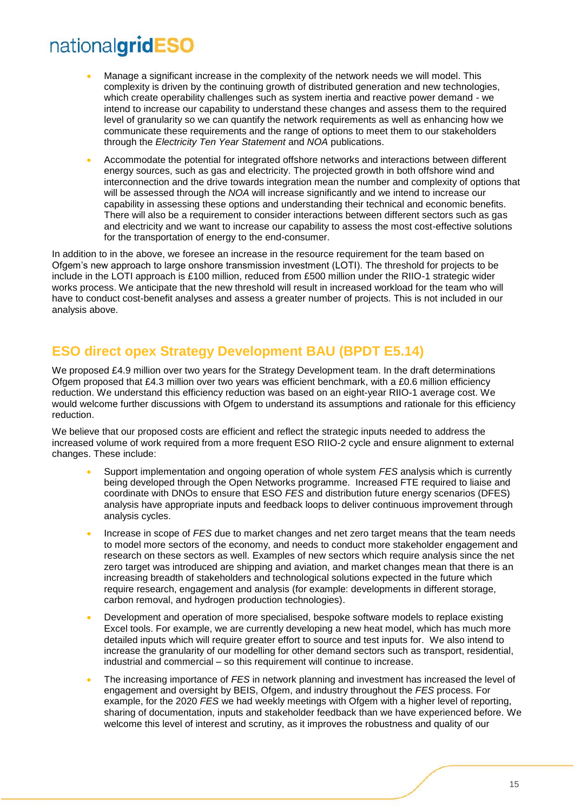- Manage a significant increase in the complexity of the network needs we will model. This complexity is driven by the continuing growth of distributed generation and new technologies, which create operability challenges such as system inertia and reactive power demand - we intend to increase our capability to understand these changes and assess them to the required level of granularity so we can quantify the network requirements as well as enhancing how we communicate these requirements and the range of options to meet them to our stakeholders through the *Electricity Ten Year Statement* and *NOA* publications.
- Accommodate the potential for integrated offshore networks and interactions between different energy sources, such as gas and electricity. The projected growth in both offshore wind and interconnection and the drive towards integration mean the number and complexity of options that will be assessed through the *NOA* will increase significantly and we intend to increase our capability in assessing these options and understanding their technical and economic benefits. There will also be a requirement to consider interactions between different sectors such as gas and electricity and we want to increase our capability to assess the most cost-effective solutions for the transportation of energy to the end-consumer.

In addition to in the above, we foresee an increase in the resource requirement for the team based on Ofgem's new approach to large onshore transmission investment (LOTI). The threshold for projects to be include in the LOTI approach is £100 million, reduced from £500 million under the RIIO-1 strategic wider works process. We anticipate that the new threshold will result in increased workload for the team who will have to conduct cost-benefit analyses and assess a greater number of projects. This is not included in our analysis above.

### <span id="page-14-0"></span>**ESO direct opex Strategy Development BAU (BPDT E5.14)**

We proposed £4.9 million over two years for the Strategy Development team. In the draft determinations Ofgem proposed that £4.3 million over two years was efficient benchmark, with a £0.6 million efficiency reduction. We understand this efficiency reduction was based on an eight-year RIIO-1 average cost. We would welcome further discussions with Ofgem to understand its assumptions and rationale for this efficiency reduction.

We believe that our proposed costs are efficient and reflect the strategic inputs needed to address the increased volume of work required from a more frequent ESO RIIO-2 cycle and ensure alignment to external changes. These include:

- Support implementation and ongoing operation of whole system *FES* analysis which is currently being developed through the Open Networks programme. Increased FTE required to liaise and coordinate with DNOs to ensure that ESO *FES* and distribution future energy scenarios (DFES) analysis have appropriate inputs and feedback loops to deliver continuous improvement through analysis cycles.
- Increase in scope of *FES* due to market changes and net zero target means that the team needs to model more sectors of the economy, and needs to conduct more stakeholder engagement and research on these sectors as well. Examples of new sectors which require analysis since the net zero target was introduced are shipping and aviation, and market changes mean that there is an increasing breadth of stakeholders and technological solutions expected in the future which require research, engagement and analysis (for example: developments in different storage, carbon removal, and hydrogen production technologies).
- Development and operation of more specialised, bespoke software models to replace existing Excel tools. For example, we are currently developing a new heat model, which has much more detailed inputs which will require greater effort to source and test inputs for. We also intend to increase the granularity of our modelling for other demand sectors such as transport, residential, industrial and commercial – so this requirement will continue to increase.
- The increasing importance of *FES* in network planning and investment has increased the level of engagement and oversight by BEIS, Ofgem, and industry throughout the *FES* process. For example, for the 2020 *FES* we had weekly meetings with Ofgem with a higher level of reporting, sharing of documentation, inputs and stakeholder feedback than we have experienced before. We welcome this level of interest and scrutiny, as it improves the robustness and quality of our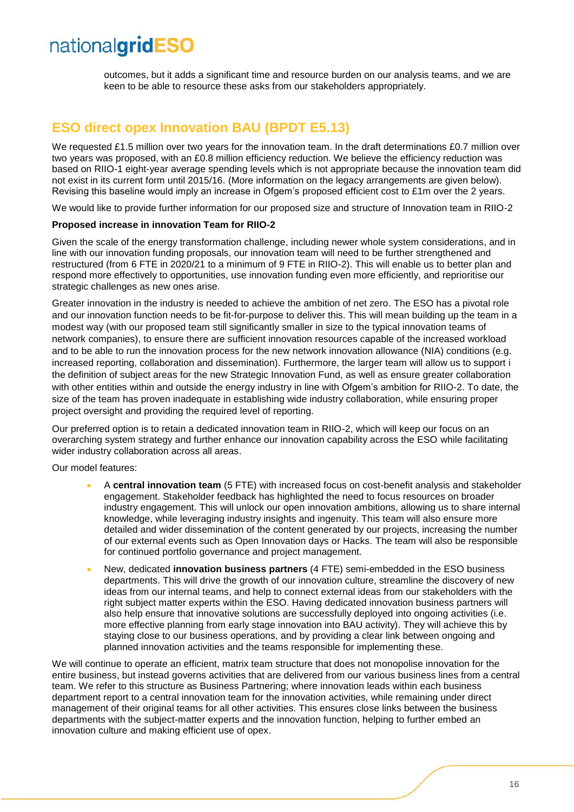outcomes, but it adds a significant time and resource burden on our analysis teams, and we are keen to be able to resource these asks from our stakeholders appropriately.

### <span id="page-15-0"></span>**ESO direct opex Innovation BAU (BPDT E5.13)**

We requested £1.5 million over two years for the innovation team. In the draft determinations £0.7 million over two years was proposed, with an £0.8 million efficiency reduction. We believe the efficiency reduction was based on RIIO-1 eight-year average spending levels which is not appropriate because the innovation team did not exist in its current form until 2015/16. (More information on the legacy arrangements are given below). Revising this baseline would imply an increase in Ofgem's proposed efficient cost to £1m over the 2 years.

We would like to provide further information for our proposed size and structure of Innovation team in RIIO-2

#### **Proposed increase in innovation Team for RIIO-2**

Given the scale of the energy transformation challenge, including newer whole system considerations, and in line with our innovation funding proposals, our innovation team will need to be further strengthened and restructured (from 6 FTE in 2020/21 to a minimum of 9 FTE in RIIO-2). This will enable us to better plan and respond more effectively to opportunities, use innovation funding even more efficiently, and reprioritise our strategic challenges as new ones arise.

Greater innovation in the industry is needed to achieve the ambition of net zero. The ESO has a pivotal role and our innovation function needs to be fit-for-purpose to deliver this. This will mean building up the team in a modest way (with our proposed team still significantly smaller in size to the typical innovation teams of network companies), to ensure there are sufficient innovation resources capable of the increased workload and to be able to run the innovation process for the new network innovation allowance (NIA) conditions (e.g. increased reporting, collaboration and dissemination). Furthermore, the larger team will allow us to support i the definition of subject areas for the new Strategic Innovation Fund, as well as ensure greater collaboration with other entities within and outside the energy industry in line with Ofgem's ambition for RIIO-2. To date, the size of the team has proven inadequate in establishing wide industry collaboration, while ensuring proper project oversight and providing the required level of reporting.

Our preferred option is to retain a dedicated innovation team in RIIO-2, which will keep our focus on an overarching system strategy and further enhance our innovation capability across the ESO while facilitating wider industry collaboration across all areas.

Our model features:

- A **central innovation team** (5 FTE) with increased focus on cost-benefit analysis and stakeholder engagement. Stakeholder feedback has highlighted the need to focus resources on broader industry engagement. This will unlock our open innovation ambitions, allowing us to share internal knowledge, while leveraging industry insights and ingenuity. This team will also ensure more detailed and wider dissemination of the content generated by our projects, increasing the number of our external events such as Open Innovation days or Hacks. The team will also be responsible for continued portfolio governance and project management.
- New, dedicated **innovation business partners** (4 FTE) semi-embedded in the ESO business departments. This will drive the growth of our innovation culture, streamline the discovery of new ideas from our internal teams, and help to connect external ideas from our stakeholders with the right subject matter experts within the ESO. Having dedicated innovation business partners will also help ensure that innovative solutions are successfully deployed into ongoing activities (i.e. more effective planning from early stage innovation into BAU activity). They will achieve this by staying close to our business operations, and by providing a clear link between ongoing and planned innovation activities and the teams responsible for implementing these.

We will continue to operate an efficient, matrix team structure that does not monopolise innovation for the entire business, but instead governs activities that are delivered from our various business lines from a central team. We refer to this structure as Business Partnering; where innovation leads within each business department report to a central innovation team for the innovation activities, while remaining under direct management of their original teams for all other activities. This ensures close links between the business departments with the subject-matter experts and the innovation function, helping to further embed an innovation culture and making efficient use of opex.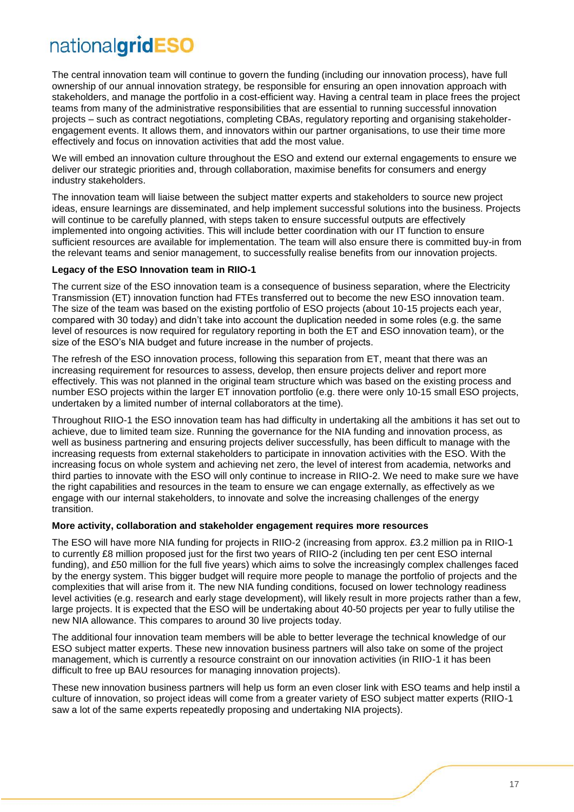The central innovation team will continue to govern the funding (including our innovation process), have full ownership of our annual innovation strategy, be responsible for ensuring an open innovation approach with stakeholders, and manage the portfolio in a cost-efficient way. Having a central team in place frees the project teams from many of the administrative responsibilities that are essential to running successful innovation projects – such as contract negotiations, completing CBAs, regulatory reporting and organising stakeholderengagement events. It allows them, and innovators within our partner organisations, to use their time more effectively and focus on innovation activities that add the most value.

We will embed an innovation culture throughout the ESO and extend our external engagements to ensure we deliver our strategic priorities and, through collaboration, maximise benefits for consumers and energy industry stakeholders.

The innovation team will liaise between the subject matter experts and stakeholders to source new project ideas, ensure learnings are disseminated, and help implement successful solutions into the business. Projects will continue to be carefully planned, with steps taken to ensure successful outputs are effectively implemented into ongoing activities. This will include better coordination with our IT function to ensure sufficient resources are available for implementation. The team will also ensure there is committed buy-in from the relevant teams and senior management, to successfully realise benefits from our innovation projects.

#### **Legacy of the ESO Innovation team in RIIO-1**

The current size of the ESO innovation team is a consequence of business separation, where the Electricity Transmission (ET) innovation function had FTEs transferred out to become the new ESO innovation team. The size of the team was based on the existing portfolio of ESO projects (about 10-15 projects each year, compared with 30 today) and didn't take into account the duplication needed in some roles (e.g. the same level of resources is now required for regulatory reporting in both the ET and ESO innovation team), or the size of the ESO's NIA budget and future increase in the number of projects.

The refresh of the ESO innovation process, following this separation from ET, meant that there was an increasing requirement for resources to assess, develop, then ensure projects deliver and report more effectively. This was not planned in the original team structure which was based on the existing process and number ESO projects within the larger ET innovation portfolio (e.g. there were only 10-15 small ESO projects, undertaken by a limited number of internal collaborators at the time).

Throughout RIIO-1 the ESO innovation team has had difficulty in undertaking all the ambitions it has set out to achieve, due to limited team size. Running the governance for the NIA funding and innovation process, as well as business partnering and ensuring projects deliver successfully, has been difficult to manage with the increasing requests from external stakeholders to participate in innovation activities with the ESO. With the increasing focus on whole system and achieving net zero, the level of interest from academia, networks and third parties to innovate with the ESO will only continue to increase in RIIO-2. We need to make sure we have the right capabilities and resources in the team to ensure we can engage externally, as effectively as we engage with our internal stakeholders, to innovate and solve the increasing challenges of the energy transition.

#### **More activity, collaboration and stakeholder engagement requires more resources**

The ESO will have more NIA funding for projects in RIIO-2 (increasing from approx. £3.2 million pa in RIIO-1 to currently £8 million proposed just for the first two years of RIIO-2 (including ten per cent ESO internal funding), and £50 million for the full five years) which aims to solve the increasingly complex challenges faced by the energy system. This bigger budget will require more people to manage the portfolio of projects and the complexities that will arise from it. The new NIA funding conditions, focused on lower technology readiness level activities (e.g. research and early stage development), will likely result in more projects rather than a few, large projects. It is expected that the ESO will be undertaking about 40-50 projects per year to fully utilise the new NIA allowance. This compares to around 30 live projects today.

The additional four innovation team members will be able to better leverage the technical knowledge of our ESO subject matter experts. These new innovation business partners will also take on some of the project management, which is currently a resource constraint on our innovation activities (in RIIO-1 it has been difficult to free up BAU resources for managing innovation projects).

These new innovation business partners will help us form an even closer link with ESO teams and help instil a culture of innovation, so project ideas will come from a greater variety of ESO subject matter experts (RIIO-1 saw a lot of the same experts repeatedly proposing and undertaking NIA projects).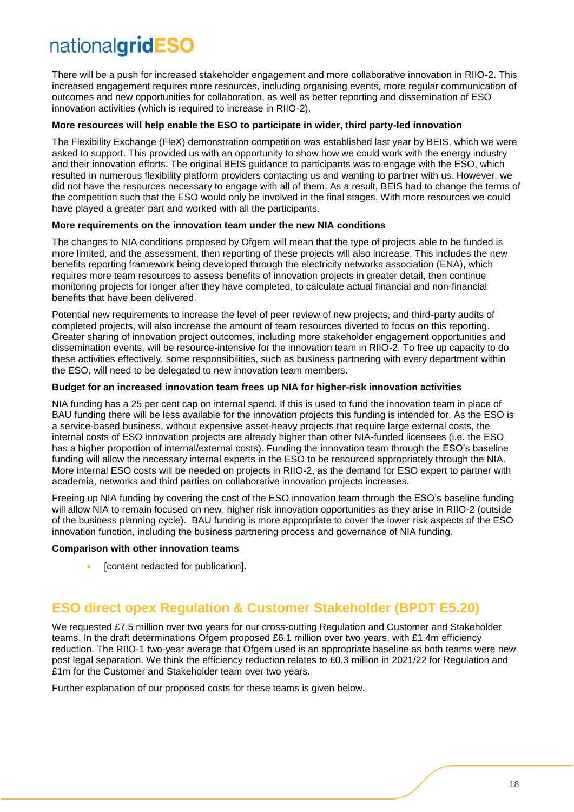There will be a push for increased stakeholder engagement and more collaborative innovation in RIIO-2. This increased engagement requires more resources, including organising events, more regular communication of outcomes and new opportunities for collaboration, as well as better reporting and dissemination of ESO innovation activities (which is required to increase in RIIO-2).

#### **More resources will help enable the ESO to participate in wider, third party-led innovation**

The Flexibility Exchange (FleX) demonstration competition was established last year by BEIS, which we were asked to support. This provided us with an opportunity to show how we could work with the energy industry and their innovation efforts. The original BEIS guidance to participants was to engage with the ESO, which resulted in numerous flexibility platform providers contacting us and wanting to partner with us. However, we did not have the resources necessary to engage with all of them. As a result, BEIS had to change the terms of the competition such that the ESO would only be involved in the final stages. With more resources we could have played a greater part and worked with all the participants.

#### **More requirements on the innovation team under the new NIA conditions**

The changes to NIA conditions proposed by Ofgem will mean that the type of projects able to be funded is more limited, and the assessment, then reporting of these projects will also increase. This includes the new benefits reporting framework being developed through the electricity networks association (ENA), which requires more team resources to assess benefits of innovation projects in greater detail, then continue monitoring projects for longer after they have completed, to calculate actual financial and non-financial benefits that have been delivered.

Potential new requirements to increase the level of peer review of new projects, and third-party audits of completed projects, will also increase the amount of team resources diverted to focus on this reporting. Greater sharing of innovation project outcomes, including more stakeholder engagement opportunities and dissemination events, will be resource-intensive for the innovation team in RIIO-2. To free up capacity to do these activities effectively, some responsibilities, such as business partnering with every department within the ESO, will need to be delegated to new innovation team members.

#### **Budget for an increased innovation team frees up NIA for higher-risk innovation activities**

NIA funding has a 25 per cent cap on internal spend. If this is used to fund the innovation team in place of BAU funding there will be less available for the innovation projects this funding is intended for. As the ESO is a service-based business, without expensive asset-heavy projects that require large external costs, the internal costs of ESO innovation projects are already higher than other NIA-funded licensees (i.e. the ESO has a higher proportion of internal/external costs). Funding the innovation team through the ESO's baseline funding will allow the necessary internal experts in the ESO to be resourced appropriately through the NIA. More internal ESO costs will be needed on projects in RIIO-2, as the demand for ESO expert to partner with academia, networks and third parties on collaborative innovation projects increases.

Freeing up NIA funding by covering the cost of the ESO innovation team through the ESO's baseline funding will allow NIA to remain focused on new, higher risk innovation opportunities as they arise in RIIO-2 (outside of the business planning cycle). BAU funding is more appropriate to cover the lower risk aspects of the ESO innovation function, including the business partnering process and governance of NIA funding.

#### **Comparison with other innovation teams**

[content redacted for publication].

### <span id="page-17-0"></span>**ESO direct opex Regulation & Customer Stakeholder (BPDT E5.20)**

We requested £7.5 million over two years for our cross-cutting Regulation and Customer and Stakeholder teams. In the draft determinations Ofgem proposed £6.1 million over two years, with £1.4m efficiency reduction. The RIIO-1 two-year average that Ofgem used is an appropriate baseline as both teams were new post legal separation. We think the efficiency reduction relates to £0.3 million in 2021/22 for Regulation and £1m for the Customer and Stakeholder team over two years.

Further explanation of our proposed costs for these teams is given below.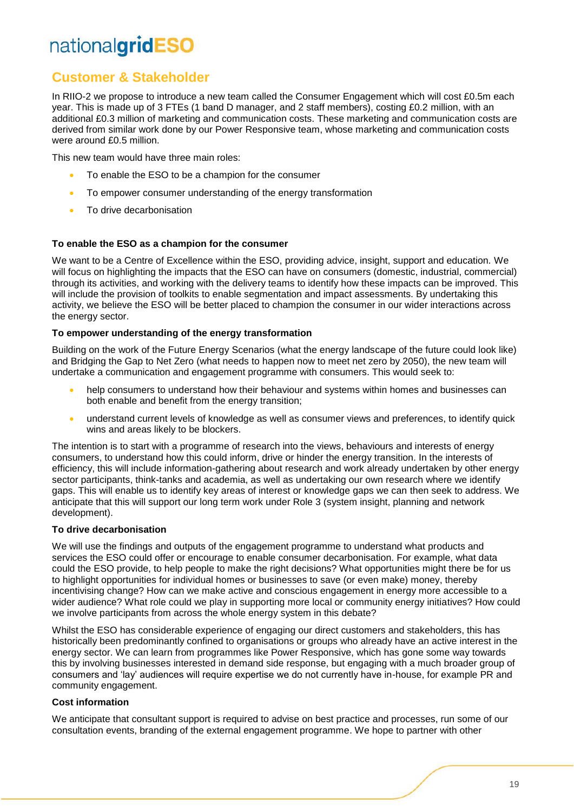### **Customer & Stakeholder**

In RIIO-2 we propose to introduce a new team called the Consumer Engagement which will cost £0.5m each year. This is made up of 3 FTEs (1 band D manager, and 2 staff members), costing £0.2 million, with an additional £0.3 million of marketing and communication costs. These marketing and communication costs are derived from similar work done by our Power Responsive team, whose marketing and communication costs were around £0.5 million.

This new team would have three main roles:

- To enable the ESO to be a champion for the consumer
- To empower consumer understanding of the energy transformation
- To drive decarbonisation

#### **To enable the ESO as a champion for the consumer**

We want to be a Centre of Excellence within the ESO, providing advice, insight, support and education. We will focus on highlighting the impacts that the ESO can have on consumers (domestic, industrial, commercial) through its activities, and working with the delivery teams to identify how these impacts can be improved. This will include the provision of toolkits to enable segmentation and impact assessments. By undertaking this activity, we believe the ESO will be better placed to champion the consumer in our wider interactions across the energy sector.

#### **To empower understanding of the energy transformation**

Building on the work of the Future Energy Scenarios (what the energy landscape of the future could look like) and Bridging the Gap to Net Zero (what needs to happen now to meet net zero by 2050), the new team will undertake a communication and engagement programme with consumers. This would seek to:

- help consumers to understand how their behaviour and systems within homes and businesses can both enable and benefit from the energy transition;
- understand current levels of knowledge as well as consumer views and preferences, to identify quick wins and areas likely to be blockers.

The intention is to start with a programme of research into the views, behaviours and interests of energy consumers, to understand how this could inform, drive or hinder the energy transition. In the interests of efficiency, this will include information-gathering about research and work already undertaken by other energy sector participants, think-tanks and academia, as well as undertaking our own research where we identify gaps. This will enable us to identify key areas of interest or knowledge gaps we can then seek to address. We anticipate that this will support our long term work under Role 3 (system insight, planning and network development).

#### **To drive decarbonisation**

We will use the findings and outputs of the engagement programme to understand what products and services the ESO could offer or encourage to enable consumer decarbonisation. For example, what data could the ESO provide, to help people to make the right decisions? What opportunities might there be for us to highlight opportunities for individual homes or businesses to save (or even make) money, thereby incentivising change? How can we make active and conscious engagement in energy more accessible to a wider audience? What role could we play in supporting more local or community energy initiatives? How could we involve participants from across the whole energy system in this debate?

Whilst the ESO has considerable experience of engaging our direct customers and stakeholders, this has historically been predominantly confined to organisations or groups who already have an active interest in the energy sector. We can learn from programmes like Power Responsive, which has gone some way towards this by involving businesses interested in demand side response, but engaging with a much broader group of consumers and 'lay' audiences will require expertise we do not currently have in-house, for example PR and community engagement.

#### **Cost information**

We anticipate that consultant support is required to advise on best practice and processes, run some of our consultation events, branding of the external engagement programme. We hope to partner with other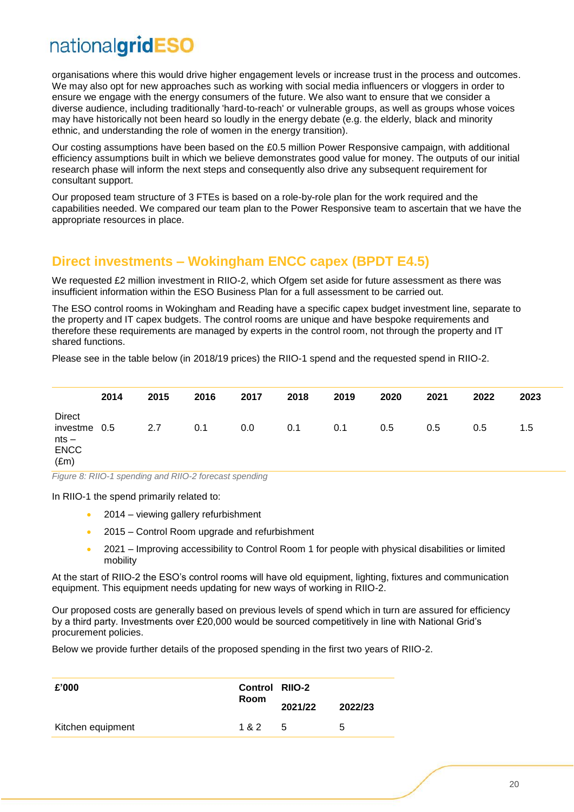organisations where this would drive higher engagement levels or increase trust in the process and outcomes. We may also opt for new approaches such as working with social media influencers or vloggers in order to ensure we engage with the energy consumers of the future. We also want to ensure that we consider a diverse audience, including traditionally 'hard-to-reach' or vulnerable groups, as well as groups whose voices may have historically not been heard so loudly in the energy debate (e.g. the elderly, black and minority ethnic, and understanding the role of women in the energy transition).

Our costing assumptions have been based on the £0.5 million Power Responsive campaign, with additional efficiency assumptions built in which we believe demonstrates good value for money. The outputs of our initial research phase will inform the next steps and consequently also drive any subsequent requirement for consultant support.

Our proposed team structure of 3 FTEs is based on a role-by-role plan for the work required and the capabilities needed. We compared our team plan to the Power Responsive team to ascertain that we have the appropriate resources in place.

### <span id="page-19-0"></span>**Direct investments – Wokingham ENCC capex (BPDT E4.5)**

We requested £2 million investment in RIIO-2, which Ofgem set aside for future assessment as there was insufficient information within the ESO Business Plan for a full assessment to be carried out.

The ESO control rooms in Wokingham and Reading have a specific capex budget investment line, separate to the property and IT capex budgets. The control rooms are unique and have bespoke requirements and therefore these requirements are managed by experts in the control room, not through the property and IT shared functions.

Please see in the table below (in 2018/19 prices) the RIIO-1 spend and the requested spend in RIIO-2.

|                                                                          | 2014 | 2015 | 2016 | 2017 | 2018 | 2019 | 2020 | 2021 | 2022 | 2023 |
|--------------------------------------------------------------------------|------|------|------|------|------|------|------|------|------|------|
| <b>Direct</b><br>investme 0.5<br>$nts -$<br><b>ENCC</b><br>$(\text{Em})$ |      | 2.7  | 0.1  | 0.0  | 0.1  | 0.1  | 0.5  | 0.5  | 0.5  | 1.5  |

*Figure 8: RIIO-1 spending and RIIO-2 forecast spending*

In RIIO-1 the spend primarily related to:

- 2014 viewing gallery refurbishment
- 2015 Control Room upgrade and refurbishment
- 2021 Improving accessibility to Control Room 1 for people with physical disabilities or limited mobility

At the start of RIIO-2 the ESO's control rooms will have old equipment, lighting, fixtures and communication equipment. This equipment needs updating for new ways of working in RIIO-2.

Our proposed costs are generally based on previous levels of spend which in turn are assured for efficiency by a third party. Investments over £20,000 would be sourced competitively in line with National Grid's procurement policies.

Below we provide further details of the proposed spending in the first two years of RIIO-2.

| £'000             |             | <b>Control RIIO-2</b> |         |  |
|-------------------|-------------|-----------------------|---------|--|
|                   | <b>Room</b> | 2021/22               | 2022/23 |  |
| Kitchen equipment | 1 & 2       | -5                    | 5       |  |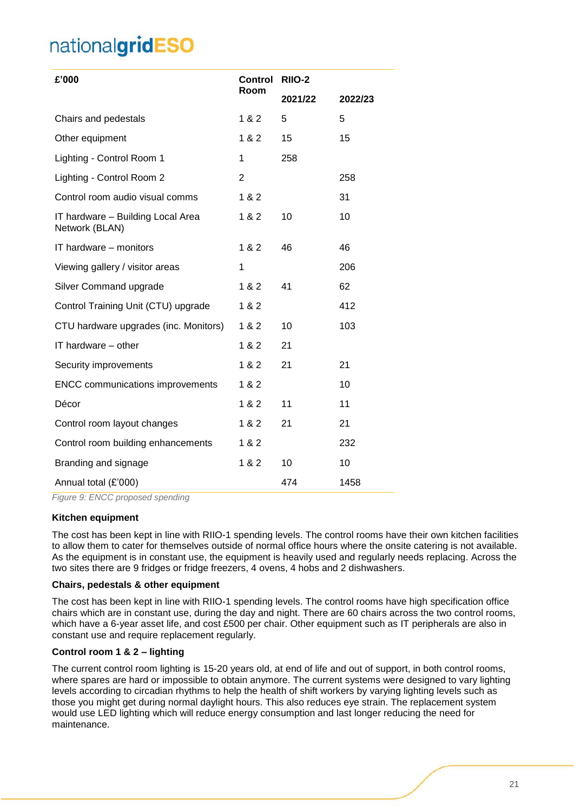| £'000                                               | <b>Control</b> | <b>RIIO-2</b> |         |  |
|-----------------------------------------------------|----------------|---------------|---------|--|
|                                                     | Room           | 2021/22       | 2022/23 |  |
| Chairs and pedestals                                | 1 & 2          | 5             | 5       |  |
| Other equipment                                     | 1 & 2          | 15            | 15      |  |
| Lighting - Control Room 1                           | 1              | 258           |         |  |
| Lighting - Control Room 2                           | 2              |               | 258     |  |
| Control room audio visual comms                     | 1 & 2          |               | 31      |  |
| IT hardware - Building Local Area<br>Network (BLAN) | 1 & 2          | 10            | 10      |  |
| IT hardware - monitors                              | 1 & 2          | 46            | 46      |  |
| Viewing gallery / visitor areas                     | 1              |               | 206     |  |
| Silver Command upgrade                              | 1 & 2          | 41            | 62      |  |
| Control Training Unit (CTU) upgrade                 | 1 & 2          |               | 412     |  |
| CTU hardware upgrades (inc. Monitors)               | 1 & 2          | 10            | 103     |  |
| IT hardware - other                                 | 1 & 2          | 21            |         |  |
| Security improvements                               | 1 & 2          | 21            | 21      |  |
| <b>ENCC</b> communications improvements             | 1 & 2          |               | 10      |  |
| Décor                                               | 1 & 2          | 11            | 11      |  |
| Control room layout changes                         | 1 & 2          | 21            | 21      |  |
| Control room building enhancements                  | 1 & 2          |               | 232     |  |
| Branding and signage                                | 1 & 2          | 10            | 10      |  |
| Annual total (£'000)                                |                | 474           | 1458    |  |

*Figure 9: ENCC proposed spending*

#### **Kitchen equipment**

The cost has been kept in line with RIIO-1 spending levels. The control rooms have their own kitchen facilities to allow them to cater for themselves outside of normal office hours where the onsite catering is not available. As the equipment is in constant use, the equipment is heavily used and regularly needs replacing. Across the two sites there are 9 fridges or fridge freezers, 4 ovens, 4 hobs and 2 dishwashers.

#### **Chairs, pedestals & other equipment**

The cost has been kept in line with RIIO-1 spending levels. The control rooms have high specification office chairs which are in constant use, during the day and night. There are 60 chairs across the two control rooms, which have a 6-year asset life, and cost £500 per chair. Other equipment such as IT peripherals are also in constant use and require replacement regularly.

#### **Control room 1 & 2 – lighting**

The current control room lighting is 15-20 years old, at end of life and out of support, in both control rooms, where spares are hard or impossible to obtain anymore. The current systems were designed to vary lighting levels according to circadian rhythms to help the health of shift workers by varying lighting levels such as those you might get during normal daylight hours. This also reduces eye strain. The replacement system would use LED lighting which will reduce energy consumption and last longer reducing the need for maintenance.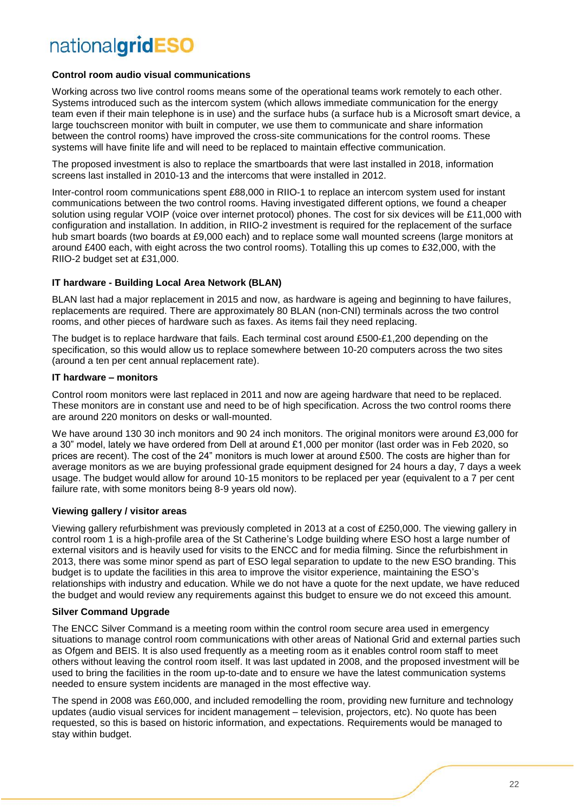#### **Control room audio visual communications**

Working across two live control rooms means some of the operational teams work remotely to each other. Systems introduced such as the intercom system (which allows immediate communication for the energy team even if their main telephone is in use) and the surface hubs (a surface hub is a Microsoft smart device, a large touchscreen monitor with built in computer, we use them to communicate and share information between the control rooms) have improved the cross-site communications for the control rooms. These systems will have finite life and will need to be replaced to maintain effective communication.

The proposed investment is also to replace the smartboards that were last installed in 2018, information screens last installed in 2010-13 and the intercoms that were installed in 2012.

Inter-control room communications spent £88,000 in RIIO-1 to replace an intercom system used for instant communications between the two control rooms. Having investigated different options, we found a cheaper solution using regular VOIP (voice over internet protocol) phones. The cost for six devices will be £11,000 with configuration and installation. In addition, in RIIO-2 investment is required for the replacement of the surface hub smart boards (two boards at £9,000 each) and to replace some wall mounted screens (large monitors at around £400 each, with eight across the two control rooms). Totalling this up comes to £32,000, with the RIIO-2 budget set at £31,000.

#### **IT hardware - Building Local Area Network (BLAN)**

BLAN last had a major replacement in 2015 and now, as hardware is ageing and beginning to have failures, replacements are required. There are approximately 80 BLAN (non-CNI) terminals across the two control rooms, and other pieces of hardware such as faxes. As items fail they need replacing.

The budget is to replace hardware that fails. Each terminal cost around £500-£1,200 depending on the specification, so this would allow us to replace somewhere between 10-20 computers across the two sites (around a ten per cent annual replacement rate).

#### **IT hardware – monitors**

Control room monitors were last replaced in 2011 and now are ageing hardware that need to be replaced. These monitors are in constant use and need to be of high specification. Across the two control rooms there are around 220 monitors on desks or wall-mounted.

We have around 130 30 inch monitors and 90 24 inch monitors. The original monitors were around £3,000 for a 30" model, lately we have ordered from Dell at around £1,000 per monitor (last order was in Feb 2020, so prices are recent). The cost of the 24" monitors is much lower at around £500. The costs are higher than for average monitors as we are buying professional grade equipment designed for 24 hours a day, 7 days a week usage. The budget would allow for around 10-15 monitors to be replaced per year (equivalent to a 7 per cent failure rate, with some monitors being 8-9 years old now).

#### **Viewing gallery / visitor areas**

Viewing gallery refurbishment was previously completed in 2013 at a cost of £250,000. The viewing gallery in control room 1 is a high-profile area of the St Catherine's Lodge building where ESO host a large number of external visitors and is heavily used for visits to the ENCC and for media filming. Since the refurbishment in 2013, there was some minor spend as part of ESO legal separation to update to the new ESO branding. This budget is to update the facilities in this area to improve the visitor experience, maintaining the ESO's relationships with industry and education. While we do not have a quote for the next update, we have reduced the budget and would review any requirements against this budget to ensure we do not exceed this amount.

#### **Silver Command Upgrade**

The ENCC Silver Command is a meeting room within the control room secure area used in emergency situations to manage control room communications with other areas of National Grid and external parties such as Ofgem and BEIS. It is also used frequently as a meeting room as it enables control room staff to meet others without leaving the control room itself. It was last updated in 2008, and the proposed investment will be used to bring the facilities in the room up-to-date and to ensure we have the latest communication systems needed to ensure system incidents are managed in the most effective way.

The spend in 2008 was £60,000, and included remodelling the room, providing new furniture and technology updates (audio visual services for incident management – television, projectors, etc). No quote has been requested, so this is based on historic information, and expectations. Requirements would be managed to stay within budget.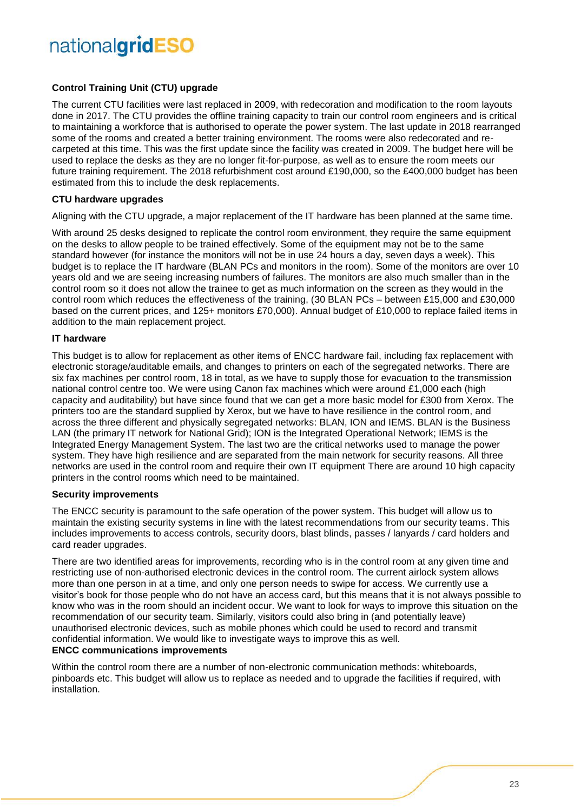#### **Control Training Unit (CTU) upgrade**

The current CTU facilities were last replaced in 2009, with redecoration and modification to the room layouts done in 2017. The CTU provides the offline training capacity to train our control room engineers and is critical to maintaining a workforce that is authorised to operate the power system. The last update in 2018 rearranged some of the rooms and created a better training environment. The rooms were also redecorated and recarpeted at this time. This was the first update since the facility was created in 2009. The budget here will be used to replace the desks as they are no longer fit-for-purpose, as well as to ensure the room meets our future training requirement. The 2018 refurbishment cost around £190,000, so the £400,000 budget has been estimated from this to include the desk replacements.

#### **CTU hardware upgrades**

Aligning with the CTU upgrade, a major replacement of the IT hardware has been planned at the same time.

With around 25 desks designed to replicate the control room environment, they require the same equipment on the desks to allow people to be trained effectively. Some of the equipment may not be to the same standard however (for instance the monitors will not be in use 24 hours a day, seven days a week). This budget is to replace the IT hardware (BLAN PCs and monitors in the room). Some of the monitors are over 10 years old and we are seeing increasing numbers of failures. The monitors are also much smaller than in the control room so it does not allow the trainee to get as much information on the screen as they would in the control room which reduces the effectiveness of the training, (30 BLAN PCs – between £15,000 and £30,000 based on the current prices, and 125+ monitors £70,000). Annual budget of £10,000 to replace failed items in addition to the main replacement project.

#### **IT hardware**

This budget is to allow for replacement as other items of ENCC hardware fail, including fax replacement with electronic storage/auditable emails, and changes to printers on each of the segregated networks. There are six fax machines per control room, 18 in total, as we have to supply those for evacuation to the transmission national control centre too. We were using Canon fax machines which were around £1,000 each (high capacity and auditability) but have since found that we can get a more basic model for £300 from Xerox. The printers too are the standard supplied by Xerox, but we have to have resilience in the control room, and across the three different and physically segregated networks: BLAN, ION and IEMS. BLAN is the Business LAN (the primary IT network for National Grid); ION is the Integrated Operational Network; IEMS is the Integrated Energy Management System. The last two are the critical networks used to manage the power system. They have high resilience and are separated from the main network for security reasons. All three networks are used in the control room and require their own IT equipment There are around 10 high capacity printers in the control rooms which need to be maintained.

#### **Security improvements**

The ENCC security is paramount to the safe operation of the power system. This budget will allow us to maintain the existing security systems in line with the latest recommendations from our security teams. This includes improvements to access controls, security doors, blast blinds, passes / lanyards / card holders and card reader upgrades.

There are two identified areas for improvements, recording who is in the control room at any given time and restricting use of non-authorised electronic devices in the control room. The current airlock system allows more than one person in at a time, and only one person needs to swipe for access. We currently use a visitor's book for those people who do not have an access card, but this means that it is not always possible to know who was in the room should an incident occur. We want to look for ways to improve this situation on the recommendation of our security team. Similarly, visitors could also bring in (and potentially leave) unauthorised electronic devices, such as mobile phones which could be used to record and transmit confidential information. We would like to investigate ways to improve this as well. **ENCC communications improvements**

Within the control room there are a number of non-electronic communication methods: whiteboards, pinboards etc. This budget will allow us to replace as needed and to upgrade the facilities if required, with installation.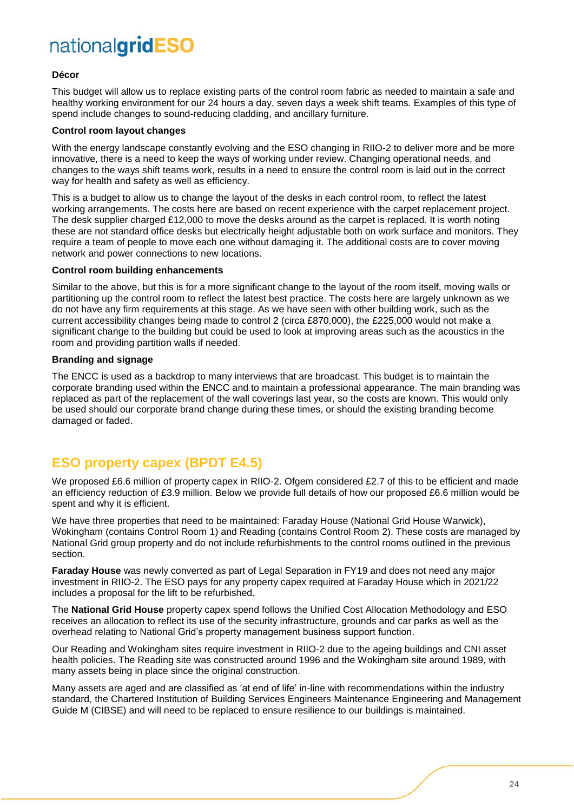#### **Décor**

This budget will allow us to replace existing parts of the control room fabric as needed to maintain a safe and healthy working environment for our 24 hours a day, seven days a week shift teams. Examples of this type of spend include changes to sound-reducing cladding, and ancillary furniture.

#### **Control room layout changes**

With the energy landscape constantly evolving and the ESO changing in RIIO-2 to deliver more and be more innovative, there is a need to keep the ways of working under review. Changing operational needs, and changes to the ways shift teams work, results in a need to ensure the control room is laid out in the correct way for health and safety as well as efficiency.

This is a budget to allow us to change the layout of the desks in each control room, to reflect the latest working arrangements. The costs here are based on recent experience with the carpet replacement project. The desk supplier charged £12,000 to move the desks around as the carpet is replaced. It is worth noting these are not standard office desks but electrically height adjustable both on work surface and monitors. They require a team of people to move each one without damaging it. The additional costs are to cover moving network and power connections to new locations.

#### **Control room building enhancements**

Similar to the above, but this is for a more significant change to the layout of the room itself, moving walls or partitioning up the control room to reflect the latest best practice. The costs here are largely unknown as we do not have any firm requirements at this stage. As we have seen with other building work, such as the current accessibility changes being made to control 2 (circa £870,000), the £225,000 would not make a significant change to the building but could be used to look at improving areas such as the acoustics in the room and providing partition walls if needed.

#### **Branding and signage**

The ENCC is used as a backdrop to many interviews that are broadcast. This budget is to maintain the corporate branding used within the ENCC and to maintain a professional appearance. The main branding was replaced as part of the replacement of the wall coverings last year, so the costs are known. This would only be used should our corporate brand change during these times, or should the existing branding become damaged or faded.

### <span id="page-23-0"></span>**ESO property capex (BPDT E4.5)**

We proposed £6.6 million of property capex in RIIO-2. Ofgem considered £2.7 of this to be efficient and made an efficiency reduction of £3.9 million. Below we provide full details of how our proposed £6.6 million would be spent and why it is efficient.

We have three properties that need to be maintained: Faraday House (National Grid House Warwick), Wokingham (contains Control Room 1) and Reading (contains Control Room 2). These costs are managed by National Grid group property and do not include refurbishments to the control rooms outlined in the previous section.

**Faraday House** was newly converted as part of Legal Separation in FY19 and does not need any major investment in RIIO-2. The ESO pays for any property capex required at Faraday House which in 2021/22 includes a proposal for the lift to be refurbished.

The **National Grid House** property capex spend follows the Unified Cost Allocation Methodology and ESO receives an allocation to reflect its use of the security infrastructure, grounds and car parks as well as the overhead relating to National Grid's property management business support function.

Our Reading and Wokingham sites require investment in RIIO-2 due to the ageing buildings and CNI asset health policies. The Reading site was constructed around 1996 and the Wokingham site around 1989, with many assets being in place since the original construction.

Many assets are aged and are classified as 'at end of life' in-line with recommendations within the industry standard, the Chartered Institution of Building Services Engineers Maintenance Engineering and Management Guide M (CIBSE) and will need to be replaced to ensure resilience to our buildings is maintained.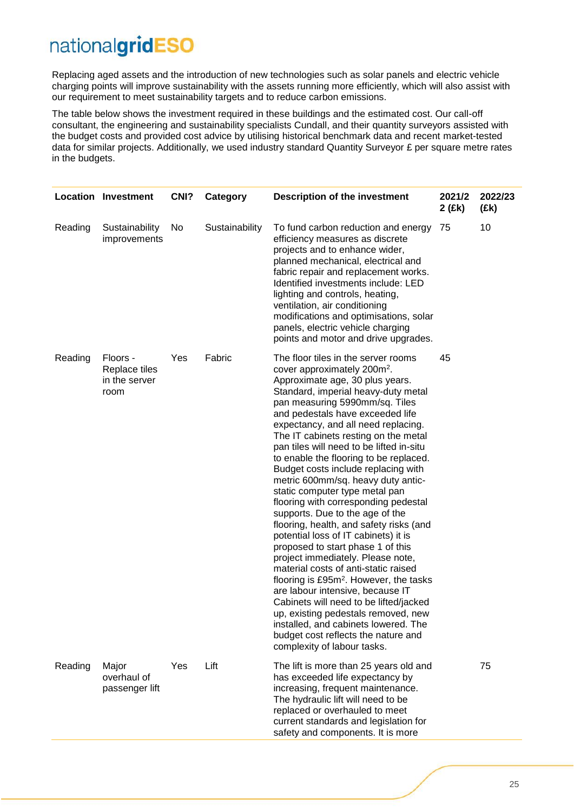Replacing aged assets and the introduction of new technologies such as solar panels and electric vehicle charging points will improve sustainability with the assets running more efficiently, which will also assist with our requirement to meet sustainability targets and to reduce carbon emissions.

The table below shows the investment required in these buildings and the estimated cost. Our call-off consultant, the engineering and sustainability specialists Cundall, and their quantity surveyors assisted with the budget costs and provided cost advice by utilising historical benchmark data and recent market-tested data for similar projects. Additionally, we used industry standard Quantity Surveyor £ per square metre rates in the budgets.

|         | <b>Location Investment</b>                         | CN <sub>1</sub> ? | Category       | <b>Description of the investment</b>                                                                                                                                                                                                                                                                                                                                                                                                                                                                                                                                                                                                                                                                                                                                                                                                                                                                                                                                                                                                                                                        | 2021/2<br>2 (£k) | 2022/23<br>(£k) |
|---------|----------------------------------------------------|-------------------|----------------|---------------------------------------------------------------------------------------------------------------------------------------------------------------------------------------------------------------------------------------------------------------------------------------------------------------------------------------------------------------------------------------------------------------------------------------------------------------------------------------------------------------------------------------------------------------------------------------------------------------------------------------------------------------------------------------------------------------------------------------------------------------------------------------------------------------------------------------------------------------------------------------------------------------------------------------------------------------------------------------------------------------------------------------------------------------------------------------------|------------------|-----------------|
| Reading | Sustainability<br>improvements                     | No                | Sustainability | To fund carbon reduction and energy<br>efficiency measures as discrete<br>projects and to enhance wider,<br>planned mechanical, electrical and<br>fabric repair and replacement works.<br>Identified investments include: LED<br>lighting and controls, heating,<br>ventilation, air conditioning<br>modifications and optimisations, solar<br>panels, electric vehicle charging<br>points and motor and drive upgrades.                                                                                                                                                                                                                                                                                                                                                                                                                                                                                                                                                                                                                                                                    | 75               | 10              |
| Reading | Floors -<br>Replace tiles<br>in the server<br>room | Yes               | Fabric         | The floor tiles in the server rooms<br>cover approximately 200m <sup>2</sup> .<br>Approximate age, 30 plus years.<br>Standard, imperial heavy-duty metal<br>pan measuring 5990mm/sq. Tiles<br>and pedestals have exceeded life<br>expectancy, and all need replacing.<br>The IT cabinets resting on the metal<br>pan tiles will need to be lifted in-situ<br>to enable the flooring to be replaced.<br>Budget costs include replacing with<br>metric 600mm/sq. heavy duty antic-<br>static computer type metal pan<br>flooring with corresponding pedestal<br>supports. Due to the age of the<br>flooring, health, and safety risks (and<br>potential loss of IT cabinets) it is<br>proposed to start phase 1 of this<br>project immediately. Please note,<br>material costs of anti-static raised<br>flooring is £95m <sup>2</sup> . However, the tasks<br>are labour intensive, because IT<br>Cabinets will need to be lifted/jacked<br>up, existing pedestals removed, new<br>installed, and cabinets lowered. The<br>budget cost reflects the nature and<br>complexity of labour tasks. | 45               |                 |
| Reading | Major<br>overhaul of<br>passenger lift             | Yes               | Lift           | The lift is more than 25 years old and<br>has exceeded life expectancy by<br>increasing, frequent maintenance.<br>The hydraulic lift will need to be<br>replaced or overhauled to meet<br>current standards and legislation for<br>safety and components. It is more                                                                                                                                                                                                                                                                                                                                                                                                                                                                                                                                                                                                                                                                                                                                                                                                                        |                  | 75              |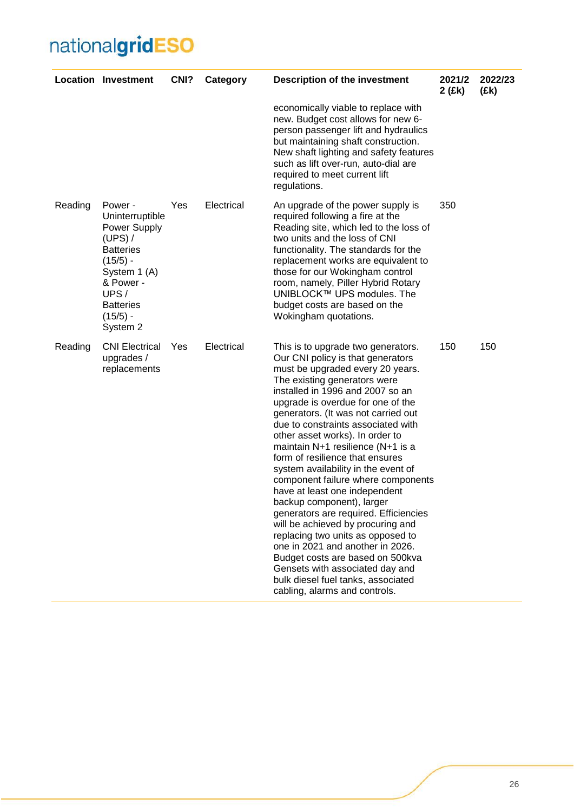|         | <b>Location Investment</b>                                                                                                                                                   | CN <sub>1</sub> ? | Category   | <b>Description of the investment</b>                                                                                                                                                                                                                                                                                                                                                                                                                                                                                                                                                                                                                                                                                                                                                                                                                         | 2021/2<br>2(Ek) | 2022/23<br>(£k) |
|---------|------------------------------------------------------------------------------------------------------------------------------------------------------------------------------|-------------------|------------|--------------------------------------------------------------------------------------------------------------------------------------------------------------------------------------------------------------------------------------------------------------------------------------------------------------------------------------------------------------------------------------------------------------------------------------------------------------------------------------------------------------------------------------------------------------------------------------------------------------------------------------------------------------------------------------------------------------------------------------------------------------------------------------------------------------------------------------------------------------|-----------------|-----------------|
|         |                                                                                                                                                                              |                   |            | economically viable to replace with<br>new. Budget cost allows for new 6-<br>person passenger lift and hydraulics<br>but maintaining shaft construction.<br>New shaft lighting and safety features<br>such as lift over-run, auto-dial are<br>required to meet current lift<br>regulations.                                                                                                                                                                                                                                                                                                                                                                                                                                                                                                                                                                  |                 |                 |
| Reading | Power -<br>Uninterruptible<br>Power Supply<br>$(UPS)$ /<br><b>Batteries</b><br>$(15/5) -$<br>System 1 (A)<br>& Power -<br>UPS/<br><b>Batteries</b><br>$(15/5) -$<br>System 2 | Yes               | Electrical | An upgrade of the power supply is<br>required following a fire at the<br>Reading site, which led to the loss of<br>two units and the loss of CNI<br>functionality. The standards for the<br>replacement works are equivalent to<br>those for our Wokingham control<br>room, namely, Piller Hybrid Rotary<br>UNIBLOCK™ UPS modules. The<br>budget costs are based on the<br>Wokingham quotations.                                                                                                                                                                                                                                                                                                                                                                                                                                                             | 350             |                 |
| Reading | <b>CNI Electrical</b><br>upgrades /<br>replacements                                                                                                                          | <b>Yes</b>        | Electrical | This is to upgrade two generators.<br>Our CNI policy is that generators<br>must be upgraded every 20 years.<br>The existing generators were<br>installed in 1996 and 2007 so an<br>upgrade is overdue for one of the<br>generators. (It was not carried out<br>due to constraints associated with<br>other asset works). In order to<br>maintain N+1 resilience (N+1 is a<br>form of resilience that ensures<br>system availability in the event of<br>component failure where components<br>have at least one independent<br>backup component), larger<br>generators are required. Efficiencies<br>will be achieved by procuring and<br>replacing two units as opposed to<br>one in 2021 and another in 2026.<br>Budget costs are based on 500kva<br>Gensets with associated day and<br>bulk diesel fuel tanks, associated<br>cabling, alarms and controls. | 150             | 150             |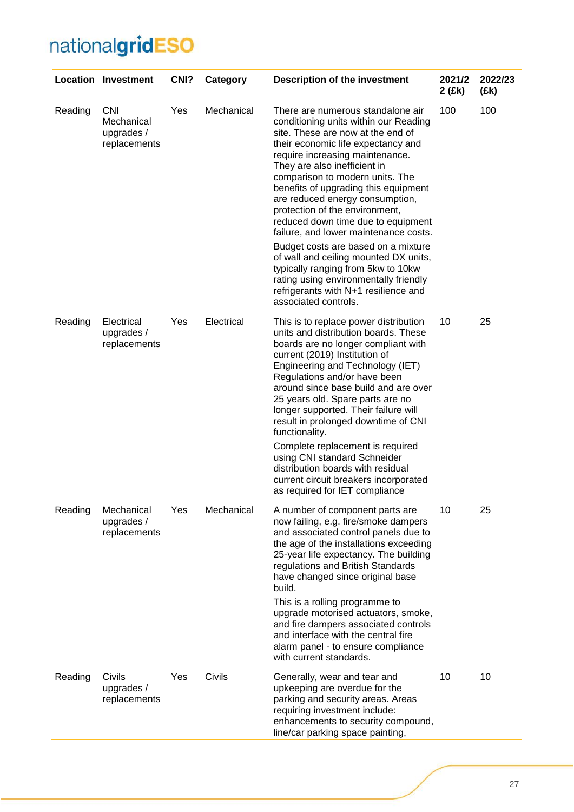|         | <b>Location Investment</b>                             | CN <sub>1</sub> ? | Category   | <b>Description of the investment</b>                                                                                                                                                                                                                                                                                                                                                                                                                                                                                                                                                                                                                                                   | 2021/2<br>2 (£k) | 2022/23<br>(Ek) |
|---------|--------------------------------------------------------|-------------------|------------|----------------------------------------------------------------------------------------------------------------------------------------------------------------------------------------------------------------------------------------------------------------------------------------------------------------------------------------------------------------------------------------------------------------------------------------------------------------------------------------------------------------------------------------------------------------------------------------------------------------------------------------------------------------------------------------|------------------|-----------------|
| Reading | <b>CNI</b><br>Mechanical<br>upgrades /<br>replacements | Yes               | Mechanical | There are numerous standalone air<br>conditioning units within our Reading<br>site. These are now at the end of<br>their economic life expectancy and<br>require increasing maintenance.<br>They are also inefficient in<br>comparison to modern units. The<br>benefits of upgrading this equipment<br>are reduced energy consumption,<br>protection of the environment,<br>reduced down time due to equipment<br>failure, and lower maintenance costs.<br>Budget costs are based on a mixture<br>of wall and ceiling mounted DX units,<br>typically ranging from 5kw to 10kw<br>rating using environmentally friendly<br>refrigerants with N+1 resilience and<br>associated controls. | 100              | 100             |
| Reading | Electrical<br>upgrades /<br>replacements               | Yes               | Electrical | This is to replace power distribution<br>units and distribution boards. These<br>boards are no longer compliant with<br>current (2019) Institution of<br>Engineering and Technology (IET)<br>Regulations and/or have been<br>around since base build and are over<br>25 years old. Spare parts are no<br>longer supported. Their failure will<br>result in prolonged downtime of CNI<br>functionality.<br>Complete replacement is required<br>using CNI standard Schneider<br>distribution boards with residual<br>current circuit breakers incorporated<br>as required for IET compliance                                                                                             | 10               | 25              |
| Reading | Mechanical<br>upgrades /<br>replacements               | Yes               | Mechanical | A number of component parts are<br>now failing, e.g. fire/smoke dampers<br>and associated control panels due to<br>the age of the installations exceeding<br>25-year life expectancy. The building<br>regulations and British Standards<br>have changed since original base<br>build.<br>This is a rolling programme to<br>upgrade motorised actuators, smoke,<br>and fire dampers associated controls<br>and interface with the central fire<br>alarm panel - to ensure compliance<br>with current standards.                                                                                                                                                                         | 10               | 25              |
| Reading | Civils<br>upgrades /<br>replacements                   | Yes               | Civils     | Generally, wear and tear and<br>upkeeping are overdue for the<br>parking and security areas. Areas<br>requiring investment include:<br>enhancements to security compound,<br>line/car parking space painting,                                                                                                                                                                                                                                                                                                                                                                                                                                                                          | 10               | 10              |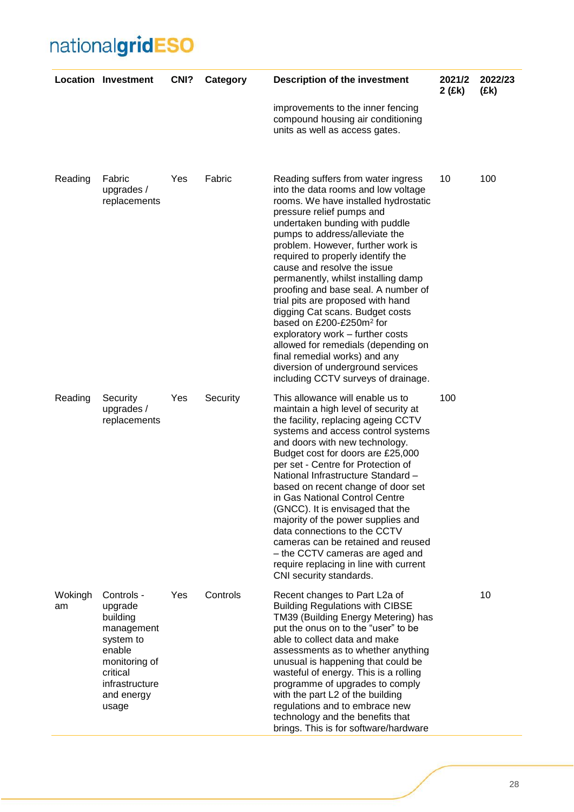|               | <b>Location Investment</b>                                                                                                                   | CNI? | Category | <b>Description of the investment</b>                                                                                                                                                                                                                                                                                                                                                                                                                                                                                                                                                                                                                                                                              | 2021/2<br>2 (£k) | 2022/23<br>(£k) |
|---------------|----------------------------------------------------------------------------------------------------------------------------------------------|------|----------|-------------------------------------------------------------------------------------------------------------------------------------------------------------------------------------------------------------------------------------------------------------------------------------------------------------------------------------------------------------------------------------------------------------------------------------------------------------------------------------------------------------------------------------------------------------------------------------------------------------------------------------------------------------------------------------------------------------------|------------------|-----------------|
|               |                                                                                                                                              |      |          | improvements to the inner fencing<br>compound housing air conditioning<br>units as well as access gates.                                                                                                                                                                                                                                                                                                                                                                                                                                                                                                                                                                                                          |                  |                 |
| Reading       | Fabric<br>upgrades /<br>replacements                                                                                                         | Yes  | Fabric   | Reading suffers from water ingress<br>into the data rooms and low voltage<br>rooms. We have installed hydrostatic<br>pressure relief pumps and<br>undertaken bunding with puddle<br>pumps to address/alleviate the<br>problem. However, further work is<br>required to properly identify the<br>cause and resolve the issue<br>permanently, whilst installing damp<br>proofing and base seal. A number of<br>trial pits are proposed with hand<br>digging Cat scans. Budget costs<br>based on £200-£250m <sup>2</sup> for<br>exploratory work - further costs<br>allowed for remedials (depending on<br>final remedial works) and any<br>diversion of underground services<br>including CCTV surveys of drainage. | 10               | 100             |
| Reading       | Security<br>upgrades /<br>replacements                                                                                                       | Yes  | Security | This allowance will enable us to<br>maintain a high level of security at<br>the facility, replacing ageing CCTV<br>systems and access control systems<br>and doors with new technology.<br>Budget cost for doors are £25,000<br>per set - Centre for Protection of<br>National Infrastructure Standard -<br>based on recent change of door set<br>in Gas National Control Centre<br>(GNCC). It is envisaged that the<br>majority of the power supplies and<br>data connections to the CCTV<br>cameras can be retained and reused<br>- the CCTV cameras are aged and<br>require replacing in line with current<br>CNI security standards.                                                                          | 100              |                 |
| Wokingh<br>am | Controls -<br>upgrade<br>building<br>management<br>system to<br>enable<br>monitoring of<br>critical<br>infrastructure<br>and energy<br>usage | Yes  | Controls | Recent changes to Part L2a of<br><b>Building Regulations with CIBSE</b><br>TM39 (Building Energy Metering) has<br>put the onus on to the "user" to be<br>able to collect data and make<br>assessments as to whether anything<br>unusual is happening that could be<br>wasteful of energy. This is a rolling<br>programme of upgrades to comply<br>with the part L2 of the building<br>regulations and to embrace new<br>technology and the benefits that<br>brings. This is for software/hardware                                                                                                                                                                                                                 |                  | 10              |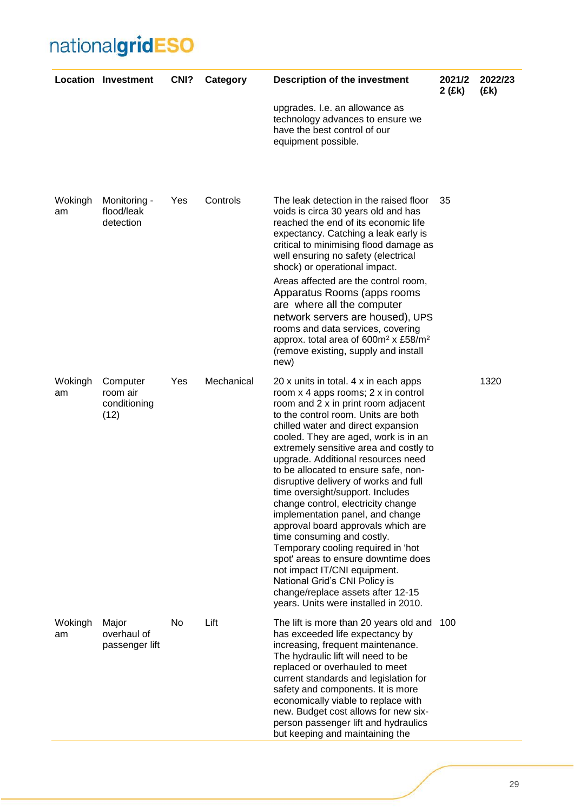|               | <b>Location Investment</b>                   | CNI? | Category   | <b>Description of the investment</b>                                                                                                                                                                                                                                                                                                                                                                                                                                                                                                                                                                                                                                                                                                                                                                                   | 2021/2<br>2 (£k) | 2022/23<br>(Ek) |
|---------------|----------------------------------------------|------|------------|------------------------------------------------------------------------------------------------------------------------------------------------------------------------------------------------------------------------------------------------------------------------------------------------------------------------------------------------------------------------------------------------------------------------------------------------------------------------------------------------------------------------------------------------------------------------------------------------------------------------------------------------------------------------------------------------------------------------------------------------------------------------------------------------------------------------|------------------|-----------------|
|               |                                              |      |            | upgrades. I.e. an allowance as<br>technology advances to ensure we<br>have the best control of our<br>equipment possible.                                                                                                                                                                                                                                                                                                                                                                                                                                                                                                                                                                                                                                                                                              |                  |                 |
| Wokingh<br>am | Monitoring -<br>flood/leak<br>detection      | Yes  | Controls   | The leak detection in the raised floor<br>voids is circa 30 years old and has<br>reached the end of its economic life<br>expectancy. Catching a leak early is<br>critical to minimising flood damage as<br>well ensuring no safety (electrical<br>shock) or operational impact.<br>Areas affected are the control room,<br>Apparatus Rooms (apps rooms<br>are where all the computer<br>network servers are housed), UPS<br>rooms and data services, covering<br>approx. total area of 600m <sup>2</sup> x £58/m <sup>2</sup><br>(remove existing, supply and install<br>new)                                                                                                                                                                                                                                          | 35               |                 |
| Wokingh<br>am | Computer<br>room air<br>conditioning<br>(12) | Yes  | Mechanical | 20 x units in total. 4 x in each apps<br>room x 4 apps rooms; 2 x in control<br>room and 2 x in print room adjacent<br>to the control room. Units are both<br>chilled water and direct expansion<br>cooled. They are aged, work is in an<br>extremely sensitive area and costly to<br>upgrade. Additional resources need<br>to be allocated to ensure safe, non-<br>disruptive delivery of works and full<br>time oversight/support. Includes<br>change control, electricity change<br>implementation panel, and change<br>approval board approvals which are<br>time consuming and costly.<br>Temporary cooling required in 'hot<br>spot' areas to ensure downtime does<br>not impact IT/CNI equipment.<br>National Grid's CNI Policy is<br>change/replace assets after 12-15<br>years. Units were installed in 2010. |                  | 1320            |
| Wokingh<br>am | Major<br>overhaul of<br>passenger lift       | No   | Lift       | The lift is more than 20 years old and<br>has exceeded life expectancy by<br>increasing, frequent maintenance.<br>The hydraulic lift will need to be<br>replaced or overhauled to meet<br>current standards and legislation for<br>safety and components. It is more<br>economically viable to replace with<br>new. Budget cost allows for new six-<br>person passenger lift and hydraulics<br>but keeping and maintaining the                                                                                                                                                                                                                                                                                                                                                                                         | 100              |                 |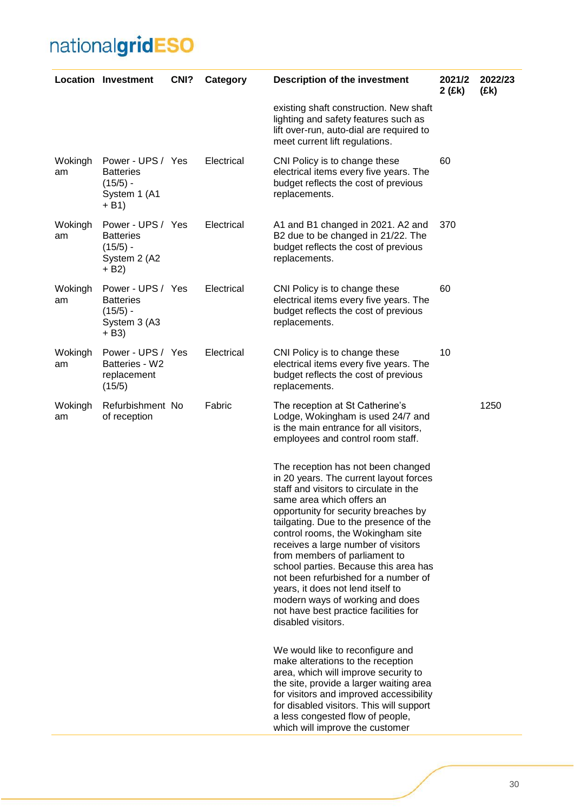|               | <b>Location Investment</b>                                                   | CN <sub>1</sub> ? | Category   | <b>Description of the investment</b>                                                                                                                                                                                                                                                                                                                                                                                                                                                                                                                                       | 2021/2<br>2 (£k) | 2022/23<br>(£k) |
|---------------|------------------------------------------------------------------------------|-------------------|------------|----------------------------------------------------------------------------------------------------------------------------------------------------------------------------------------------------------------------------------------------------------------------------------------------------------------------------------------------------------------------------------------------------------------------------------------------------------------------------------------------------------------------------------------------------------------------------|------------------|-----------------|
|               |                                                                              |                   |            | existing shaft construction. New shaft<br>lighting and safety features such as<br>lift over-run, auto-dial are required to<br>meet current lift regulations.                                                                                                                                                                                                                                                                                                                                                                                                               |                  |                 |
| Wokingh<br>am | Power - UPS / Yes<br><b>Batteries</b><br>$(15/5) -$<br>System 1 (A1<br>+ B1) |                   | Electrical | CNI Policy is to change these<br>electrical items every five years. The<br>budget reflects the cost of previous<br>replacements.                                                                                                                                                                                                                                                                                                                                                                                                                                           | 60               |                 |
| Wokingh<br>am | Power - UPS / Yes<br><b>Batteries</b><br>$(15/5)$ -<br>System 2 (A2<br>+ B2) |                   | Electrical | A1 and B1 changed in 2021. A2 and<br>B2 due to be changed in 21/22. The<br>budget reflects the cost of previous<br>replacements.                                                                                                                                                                                                                                                                                                                                                                                                                                           | 370              |                 |
| Wokingh<br>am | Power - UPS / Yes<br><b>Batteries</b><br>$(15/5) -$<br>System 3 (A3<br>+ B3) |                   | Electrical | CNI Policy is to change these<br>electrical items every five years. The<br>budget reflects the cost of previous<br>replacements.                                                                                                                                                                                                                                                                                                                                                                                                                                           | 60               |                 |
| Wokingh<br>am | Power - UPS / Yes<br>Batteries - W2<br>replacement<br>(15/5)                 |                   | Electrical | CNI Policy is to change these<br>electrical items every five years. The<br>budget reflects the cost of previous<br>replacements.                                                                                                                                                                                                                                                                                                                                                                                                                                           | 10               |                 |
| Wokingh<br>am | Refurbishment No<br>of reception                                             |                   | Fabric     | The reception at St Catherine's<br>Lodge, Wokingham is used 24/7 and<br>is the main entrance for all visitors,<br>employees and control room staff.                                                                                                                                                                                                                                                                                                                                                                                                                        |                  | 1250            |
|               |                                                                              |                   |            | The reception has not been changed<br>in 20 years. The current layout forces<br>staff and visitors to circulate in the<br>same area which offers an<br>opportunity for security breaches by<br>tailgating. Due to the presence of the<br>control rooms, the Wokingham site<br>receives a large number of visitors<br>from members of parliament to<br>school parties. Because this area has<br>not been refurbished for a number of<br>years, it does not lend itself to<br>modern ways of working and does<br>not have best practice facilities for<br>disabled visitors. |                  |                 |
|               |                                                                              |                   |            | We would like to reconfigure and<br>make alterations to the reception<br>area, which will improve security to<br>the site, provide a larger waiting area<br>for visitors and improved accessibility<br>for disabled visitors. This will support<br>a less congested flow of people,<br>which will improve the customer                                                                                                                                                                                                                                                     |                  |                 |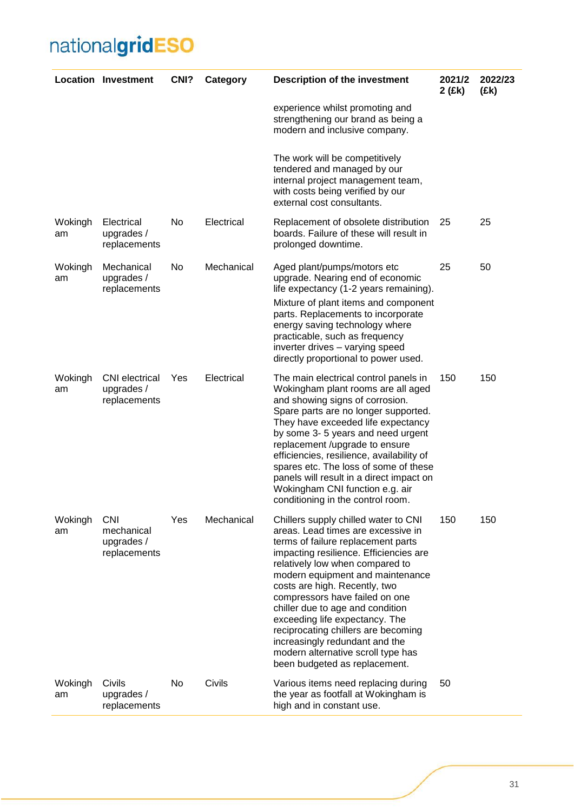|               | <b>Location Investment</b>                             | CNI? | Category   | <b>Description of the investment</b>                                                                                                                                                                                                                                                                                                                                                                                                                                                                                       | 2021/2<br>2 (£k) | 2022/23<br>(£k) |
|---------------|--------------------------------------------------------|------|------------|----------------------------------------------------------------------------------------------------------------------------------------------------------------------------------------------------------------------------------------------------------------------------------------------------------------------------------------------------------------------------------------------------------------------------------------------------------------------------------------------------------------------------|------------------|-----------------|
|               |                                                        |      |            | experience whilst promoting and<br>strengthening our brand as being a<br>modern and inclusive company.                                                                                                                                                                                                                                                                                                                                                                                                                     |                  |                 |
|               |                                                        |      |            | The work will be competitively<br>tendered and managed by our<br>internal project management team,<br>with costs being verified by our<br>external cost consultants.                                                                                                                                                                                                                                                                                                                                                       |                  |                 |
| Wokingh<br>am | Electrical<br>upgrades /<br>replacements               | No   | Electrical | Replacement of obsolete distribution<br>boards. Failure of these will result in<br>prolonged downtime.                                                                                                                                                                                                                                                                                                                                                                                                                     | 25               | 25              |
| Wokingh<br>am | Mechanical<br>upgrades /<br>replacements               | No   | Mechanical | Aged plant/pumps/motors etc<br>upgrade. Nearing end of economic<br>life expectancy (1-2 years remaining).<br>Mixture of plant items and component<br>parts. Replacements to incorporate<br>energy saving technology where<br>practicable, such as frequency<br>inverter drives - varying speed<br>directly proportional to power used.                                                                                                                                                                                     | 25               | 50              |
| Wokingh<br>am | <b>CNI</b> electrical<br>upgrades /<br>replacements    | Yes  | Electrical | The main electrical control panels in<br>Wokingham plant rooms are all aged<br>and showing signs of corrosion.<br>Spare parts are no longer supported.<br>They have exceeded life expectancy<br>by some 3-5 years and need urgent<br>replacement /upgrade to ensure<br>efficiencies, resilience, availability of<br>spares etc. The loss of some of these<br>panels will result in a direct impact on<br>Wokingham CNI function e.g. air<br>conditioning in the control room.                                              | 150              | 150             |
| Wokingh<br>am | <b>CNI</b><br>mechanical<br>upgrades /<br>replacements | Yes  | Mechanical | Chillers supply chilled water to CNI<br>areas. Lead times are excessive in<br>terms of failure replacement parts<br>impacting resilience. Efficiencies are<br>relatively low when compared to<br>modern equipment and maintenance<br>costs are high. Recently, two<br>compressors have failed on one<br>chiller due to age and condition<br>exceeding life expectancy. The<br>reciprocating chillers are becoming<br>increasingly redundant and the<br>modern alternative scroll type has<br>been budgeted as replacement. | 150              | 150             |
| Wokingh<br>am | Civils<br>upgrades /<br>replacements                   | No   | Civils     | Various items need replacing during<br>the year as footfall at Wokingham is<br>high and in constant use.                                                                                                                                                                                                                                                                                                                                                                                                                   | 50               |                 |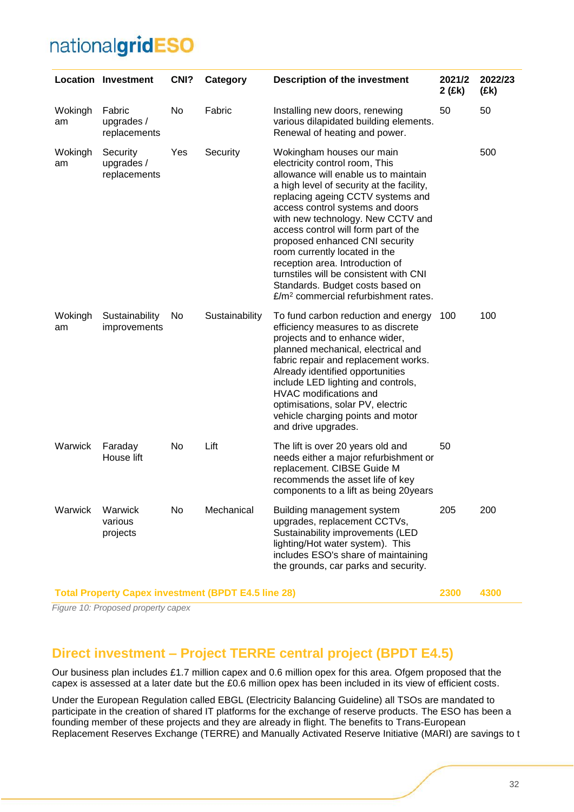|                                                            | <b>Location Investment</b>             | CNI? | Category       | <b>Description of the investment</b>                                                                                                                                                                                                                                                                                                                                                                                                                                                                                                           | 2021/2<br>2 (£k) | 2022/23<br>(£k) |
|------------------------------------------------------------|----------------------------------------|------|----------------|------------------------------------------------------------------------------------------------------------------------------------------------------------------------------------------------------------------------------------------------------------------------------------------------------------------------------------------------------------------------------------------------------------------------------------------------------------------------------------------------------------------------------------------------|------------------|-----------------|
| Wokingh<br>am                                              | Fabric<br>upgrades /<br>replacements   | No   | Fabric         | Installing new doors, renewing<br>various dilapidated building elements.<br>Renewal of heating and power.                                                                                                                                                                                                                                                                                                                                                                                                                                      | 50               | 50              |
| Wokingh<br>am                                              | Security<br>upgrades /<br>replacements | Yes  | Security       | Wokingham houses our main<br>electricity control room, This<br>allowance will enable us to maintain<br>a high level of security at the facility,<br>replacing ageing CCTV systems and<br>access control systems and doors<br>with new technology. New CCTV and<br>access control will form part of the<br>proposed enhanced CNI security<br>room currently located in the<br>reception area. Introduction of<br>turnstiles will be consistent with CNI<br>Standards. Budget costs based on<br>£/m <sup>2</sup> commercial refurbishment rates. |                  | 500             |
| Wokingh<br>am                                              | Sustainability<br>improvements         | No   | Sustainability | To fund carbon reduction and energy<br>efficiency measures to as discrete<br>projects and to enhance wider,<br>planned mechanical, electrical and<br>fabric repair and replacement works.<br>Already identified opportunities<br>include LED lighting and controls,<br>HVAC modifications and<br>optimisations, solar PV, electric<br>vehicle charging points and motor<br>and drive upgrades.                                                                                                                                                 | 100              | 100             |
| Warwick                                                    | Faraday<br>House lift                  | No   | Lift           | The lift is over 20 years old and<br>needs either a major refurbishment or<br>replacement. CIBSE Guide M<br>recommends the asset life of key<br>components to a lift as being 20years                                                                                                                                                                                                                                                                                                                                                          | 50               |                 |
| Warwick                                                    | Warwick<br>various<br>projects         | No   | Mechanical     | Building management system<br>upgrades, replacement CCTVs,<br>Sustainability improvements (LED<br>lighting/Hot water system). This<br>includes ESO's share of maintaining<br>the grounds, car parks and security.                                                                                                                                                                                                                                                                                                                              | 205              | 200             |
| <b>Total Property Capex investment (BPDT E4.5 line 28)</b> |                                        |      |                |                                                                                                                                                                                                                                                                                                                                                                                                                                                                                                                                                | 2300             | 4300            |

*Figure 10: Proposed property capex*

### <span id="page-31-0"></span>**Direct investment – Project TERRE central project (BPDT E4.5)**

Our business plan includes £1.7 million capex and 0.6 million opex for this area. Ofgem proposed that the capex is assessed at a later date but the £0.6 million opex has been included in its view of efficient costs.

Under the European Regulation called EBGL (Electricity Balancing Guideline) all TSOs are mandated to participate in the creation of shared IT platforms for the exchange of reserve products. The ESO has been a founding member of these projects and they are already in flight. The benefits to Trans-European Replacement Reserves Exchange (TERRE) and Manually Activated Reserve Initiative (MARI) are savings to t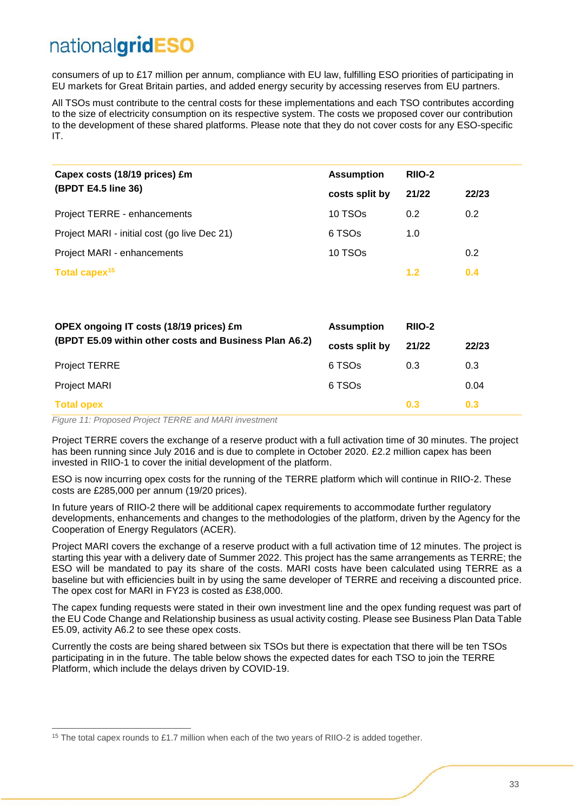consumers of up to £17 million per annum, compliance with EU law, fulfilling ESO priorities of participating in EU markets for Great Britain parties, and added energy security by accessing reserves from EU partners.

All TSOs must contribute to the central costs for these implementations and each TSO contributes according to the size of electricity consumption on its respective system. The costs we proposed cover our contribution to the development of these shared platforms. Please note that they do not cover costs for any ESO-specific IT.

| Capex costs (18/19 prices) £m                          | <b>Assumption</b>   | RIIO-2           |                  |
|--------------------------------------------------------|---------------------|------------------|------------------|
| (BPDT E4.5 line 36)                                    | costs split by      | 21/22            | 22/23            |
| Project TERRE - enhancements                           | 10 TSO <sub>s</sub> | 0.2 <sub>0</sub> | 0.2 <sub>0</sub> |
| Project MARI - initial cost (go live Dec 21)           | 6 TSOs              | 1.0              |                  |
| Project MARI - enhancements                            | 10 TSO <sub>s</sub> |                  | 0.2              |
| Total capex <sup>15</sup>                              |                     | 1.2              | 0.4              |
|                                                        |                     |                  |                  |
| OPEX ongoing IT costs (18/19 prices) £m                | <b>Assumption</b>   | RIIO-2           |                  |
| (BPDT E5.09 within other costs and Business Plan A6.2) | costs split by      | 21/22            | 22/23            |
| <b>Project TERRE</b>                                   | 6 TSO <sub>s</sub>  | 0.3              | 0.3              |
| <b>Project MARI</b>                                    | 6 TSO <sub>s</sub>  |                  | 0.04             |

#### **Total opex 0.3 0.3**

 $\overline{a}$ 

*Figure 11: Proposed Project TERRE and MARI investment*

Project TERRE covers the exchange of a reserve product with a full activation time of 30 minutes. The project has been running since July 2016 and is due to complete in October 2020. £2.2 million capex has been invested in RIIO-1 to cover the initial development of the platform.

ESO is now incurring opex costs for the running of the TERRE platform which will continue in RIIO-2. These costs are £285,000 per annum (19/20 prices).

In future years of RIIO-2 there will be additional capex requirements to accommodate further regulatory developments, enhancements and changes to the methodologies of the platform, driven by the Agency for the Cooperation of Energy Regulators (ACER).

Project MARI covers the exchange of a reserve product with a full activation time of 12 minutes. The project is starting this year with a delivery date of Summer 2022. This project has the same arrangements as TERRE; the ESO will be mandated to pay its share of the costs. MARI costs have been calculated using TERRE as a baseline but with efficiencies built in by using the same developer of TERRE and receiving a discounted price. The opex cost for MARI in FY23 is costed as £38,000.

The capex funding requests were stated in their own investment line and the opex funding request was part of the EU Code Change and Relationship business as usual activity costing. Please see Business Plan Data Table E5.09, activity A6.2 to see these opex costs.

Currently the costs are being shared between six TSOs but there is expectation that there will be ten TSOs participating in in the future. The table below shows the expected dates for each TSO to join the TERRE Platform, which include the delays driven by COVID-19.

<sup>&</sup>lt;sup>15</sup> The total capex rounds to £1.7 million when each of the two years of RIIO-2 is added together.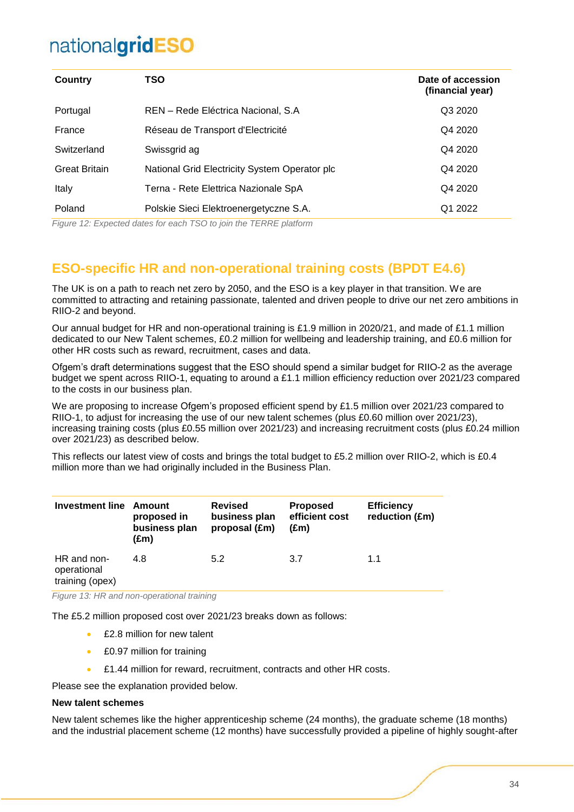| <b>Country</b>       | TSO                                           | Date of accession<br>(financial year) |
|----------------------|-----------------------------------------------|---------------------------------------|
| Portugal             | REN - Rede Eléctrica Nacional, S.A            | Q3 2020                               |
| France               | Réseau de Transport d'Electricité             | Q4 2020                               |
| Switzerland          | Swissgrid ag                                  | Q4 2020                               |
| <b>Great Britain</b> | National Grid Electricity System Operator plc | Q4 2020                               |
| Italy                | Terna - Rete Elettrica Nazionale SpA          | Q4 2020                               |
| Poland               | Polskie Sieci Elektroenergetyczne S.A.        | Q1 2022                               |

*Figure 12: Expected dates for each TSO to join the TERRE platform*

### <span id="page-33-0"></span>**ESO-specific HR and non-operational training costs (BPDT E4.6)**

The UK is on a path to reach net zero by 2050, and the ESO is a key player in that transition. We are committed to attracting and retaining passionate, talented and driven people to drive our net zero ambitions in RIIO-2 and beyond.

Our annual budget for HR and non-operational training is £1.9 million in 2020/21, and made of £1.1 million dedicated to our New Talent schemes, £0.2 million for wellbeing and leadership training, and £0.6 million for other HR costs such as reward, recruitment, cases and data.

Ofgem's draft determinations suggest that the ESO should spend a similar budget for RIIO-2 as the average budget we spent across RIIO-1, equating to around a £1.1 million efficiency reduction over 2021/23 compared to the costs in our business plan.

We are proposing to increase Ofgem's proposed efficient spend by £1.5 million over 2021/23 compared to RIIO-1, to adjust for increasing the use of our new talent schemes (plus £0.60 million over 2021/23), increasing training costs (plus £0.55 million over 2021/23) and increasing recruitment costs (plus £0.24 million over 2021/23) as described below.

This reflects our latest view of costs and brings the total budget to £5.2 million over RIIO-2, which is £0.4 million more than we had originally included in the Business Plan.

| <b>Investment line</b>                        | Amount<br>proposed in<br>business plan<br>(£m) | <b>Revised</b><br>business plan<br>proposal (£m) | <b>Proposed</b><br>efficient cost<br>(£m) | <b>Efficiency</b><br>reduction (£m) |
|-----------------------------------------------|------------------------------------------------|--------------------------------------------------|-------------------------------------------|-------------------------------------|
| HR and non-<br>operational<br>training (opex) | 4.8                                            | 5.2                                              | 3.7                                       | 1.1                                 |
|                                               |                                                |                                                  |                                           |                                     |

*Figure 13: HR and non-operational training*

The £5.2 million proposed cost over 2021/23 breaks down as follows:

- £2.8 million for new talent
- £0.97 million for training
- £1.44 million for reward, recruitment, contracts and other HR costs.

Please see the explanation provided below.

#### **New talent schemes**

New talent schemes like the higher apprenticeship scheme (24 months), the graduate scheme (18 months) and the industrial placement scheme (12 months) have successfully provided a pipeline of highly sought-after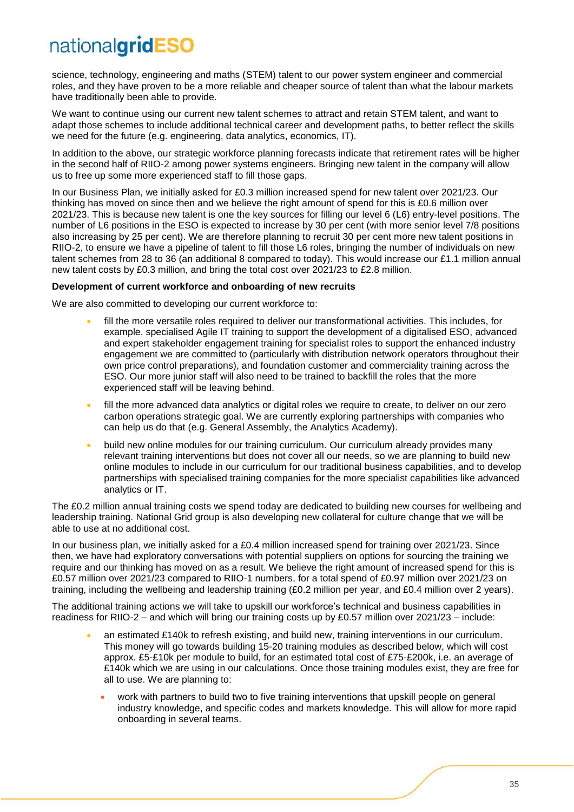science, technology, engineering and maths (STEM) talent to our power system engineer and commercial roles, and they have proven to be a more reliable and cheaper source of talent than what the labour markets have traditionally been able to provide.

We want to continue using our current new talent schemes to attract and retain STEM talent, and want to adapt those schemes to include additional technical career and development paths, to better reflect the skills we need for the future (e.g. engineering, data analytics, economics, IT).

In addition to the above, our strategic workforce planning forecasts indicate that retirement rates will be higher in the second half of RIIO-2 among power systems engineers. Bringing new talent in the company will allow us to free up some more experienced staff to fill those gaps.

In our Business Plan, we initially asked for £0.3 million increased spend for new talent over 2021/23. Our thinking has moved on since then and we believe the right amount of spend for this is £0.6 million over 2021/23. This is because new talent is one the key sources for filling our level 6 (L6) entry-level positions. The number of L6 positions in the ESO is expected to increase by 30 per cent (with more senior level 7/8 positions also increasing by 25 per cent). We are therefore planning to recruit 30 per cent more new talent positions in RIIO-2, to ensure we have a pipeline of talent to fill those L6 roles, bringing the number of individuals on new talent schemes from 28 to 36 (an additional 8 compared to today). This would increase our £1.1 million annual new talent costs by £0.3 million, and bring the total cost over 2021/23 to £2.8 million.

#### **Development of current workforce and onboarding of new recruits**

We are also committed to developing our current workforce to:

- fill the more versatile roles required to deliver our transformational activities. This includes, for example, specialised Agile IT training to support the development of a digitalised ESO, advanced and expert stakeholder engagement training for specialist roles to support the enhanced industry engagement we are committed to (particularly with distribution network operators throughout their own price control preparations), and foundation customer and commerciality training across the ESO. Our more junior staff will also need to be trained to backfill the roles that the more experienced staff will be leaving behind.
- fill the more advanced data analytics or digital roles we require to create, to deliver on our zero carbon operations strategic goal. We are currently exploring partnerships with companies who can help us do that (e.g. General Assembly, the Analytics Academy).
- build new online modules for our training curriculum. Our curriculum already provides many relevant training interventions but does not cover all our needs, so we are planning to build new online modules to include in our curriculum for our traditional business capabilities, and to develop partnerships with specialised training companies for the more specialist capabilities like advanced analytics or IT.

The £0.2 million annual training costs we spend today are dedicated to building new courses for wellbeing and leadership training. National Grid group is also developing new collateral for culture change that we will be able to use at no additional cost.

In our business plan, we initially asked for a £0.4 million increased spend for training over 2021/23. Since then, we have had exploratory conversations with potential suppliers on options for sourcing the training we require and our thinking has moved on as a result. We believe the right amount of increased spend for this is £0.57 million over 2021/23 compared to RIIO-1 numbers, for a total spend of £0.97 million over 2021/23 on training, including the wellbeing and leadership training (£0.2 million per year, and £0.4 million over 2 years).

The additional training actions we will take to upskill our workforce's technical and business capabilities in readiness for RIIO-2 – and which will bring our training costs up by £0.57 million over 2021/23 – include:

- an estimated £140k to refresh existing, and build new, training interventions in our curriculum. This money will go towards building 15-20 training modules as described below, which will cost approx. £5-£10k per module to build, for an estimated total cost of £75-£200k, i.e. an average of £140k which we are using in our calculations. Once those training modules exist, they are free for all to use. We are planning to:
	- work with partners to build two to five training interventions that upskill people on general industry knowledge, and specific codes and markets knowledge. This will allow for more rapid onboarding in several teams.